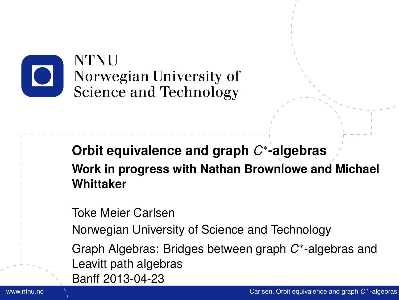

#### **Orbit equivalence and graph** *C* ∗ **-algebras Work in progress with Nathan Brownlowe and Michael Whittaker**

Toke Meier Carlsen

Norwegian University of Science and Technology

<span id="page-0-0"></span>Graph Algebras: Bridges between graph C<sup>\*</sup>-algebras and Leavitt path algebras Banff 2013-04-23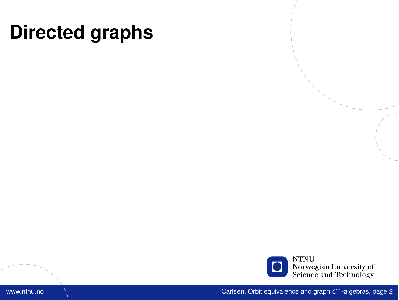

www.ntnu.no Carlsen, [Orbit equivalence and graph](#page-0-0) *C* \*-algebras, page 2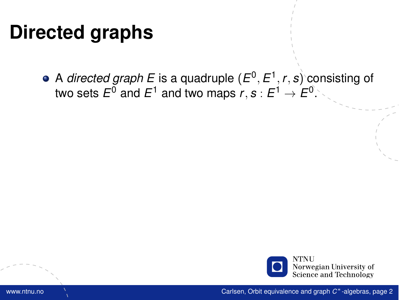A *directed graph E* is a quadruple (*E* 0 , *E* 1 , *r*, *s*) consisting of two sets  $E^0$  and  $E^1$  and two maps  $r,s:E^1\to E^0.$ 

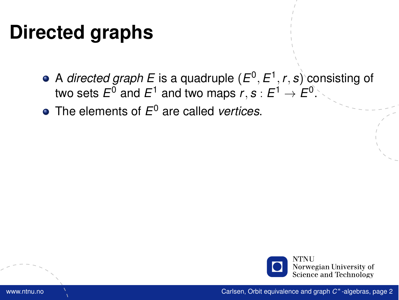- A *directed graph E* is a quadruple (*E* 0 , *E* 1 , *r*, *s*) consisting of two sets  $E^0$  and  $E^1$  and two maps  $r,s:E^1\to E^0.$
- The elements of *E* <sup>0</sup> are called *vertices*.

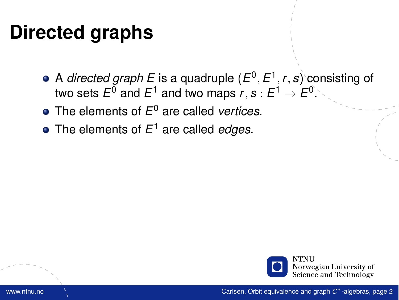- A *directed graph E* is a quadruple (*E* 0 , *E* 1 , *r*, *s*) consisting of two sets  $E^0$  and  $E^1$  and two maps  $r,s:E^1\to E^0.$
- The elements of *E* <sup>0</sup> are called *vertices*.
- The elements of *E* <sup>1</sup> are called *edges*.

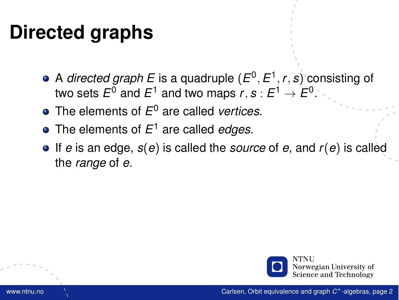- A *directed graph E* is a quadruple (*E* 0 , *E* 1 , *r*, *s*) consisting of two sets  $E^0$  and  $E^1$  and two maps  $r,s:E^1\to E^0.$
- The elements of *E* <sup>0</sup> are called *vertices*.
- The elements of *E* <sup>1</sup> are called *edges*.
- If *e* is an edge, *s*(*e*) is called the *source* of *e*, and *r*(*e*) is called the *range* of *e*.

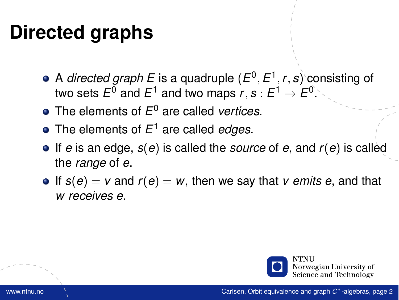- A *directed graph E* is a quadruple (*E* 0 , *E* 1 , *r*, *s*) consisting of two sets  $E^0$  and  $E^1$  and two maps  $r,s:E^1\to E^0.$
- The elements of *E* <sup>0</sup> are called *vertices*.
- The elements of *E* <sup>1</sup> are called *edges*.
- If *e* is an edge, *s*(*e*) is called the *source* of *e*, and *r*(*e*) is called the *range* of *e*.
- $\bullet$  If  $s(e) = v$  and  $r(e) = w$ , then we say that *v* emits e, and that *w receives e*.

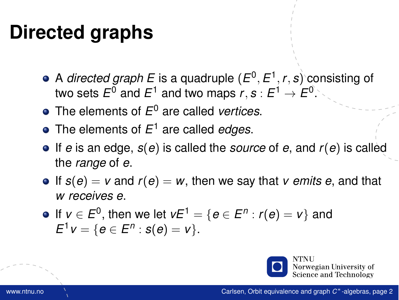- A *directed graph E* is a quadruple (*E* 0 , *E* 1 , *r*, *s*) consisting of two sets  $E^0$  and  $E^1$  and two maps  $r,s:E^1\to E^0.$
- The elements of *E* <sup>0</sup> are called *vertices*.
- The elements of *E* <sup>1</sup> are called *edges*.
- If *e* is an edge, *s*(*e*) is called the *source* of *e*, and *r*(*e*) is called the *range* of *e*.
- $\bullet$  If  $s(e) = v$  and  $r(e) = w$ , then we say that *v* emits e, and that *w receives e*.
- If  $v \in E^0$ , then we let  $vE^1 = \{e \in E^n : r(e) = v\}$  and  $E^1 v = \{ e \in E^n : s(e) = v \}.$

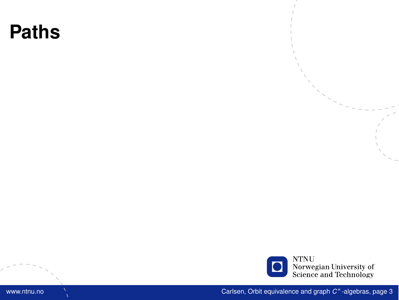

www.ntnu.no Carlsen, [Orbit equivalence and graph](#page-0-0) *C* \*-algebras, page 3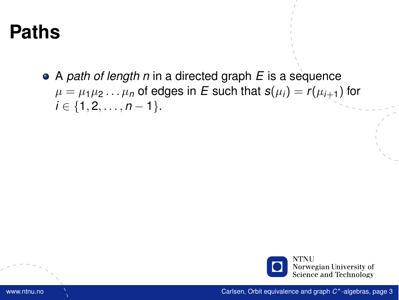A *path of length n* in a directed graph *E* is a sequence  $\mu = \mu_1 \mu_2 \ldots \mu_n$  of edges in *E* such that  $s(\mu_i) = r(\mu_{i+1})$  for  $i \in \{1, 2, \ldots, n-1\}.$ 

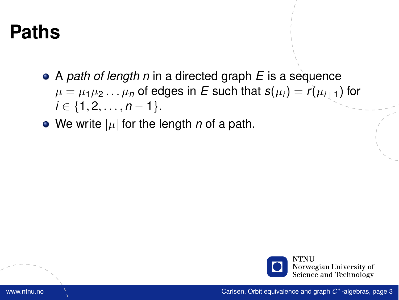- A *path of length n* in a directed graph *E* is a sequence  $\mu = \mu_1 \mu_2 \ldots \mu_n$  of edges in *E* such that  $s(\mu_i) = r(\mu_{i+1})$  for  $i \in \{1, 2, \ldots, n-1\}.$
- We write  $|\mu|$  for the length *n* of a path.

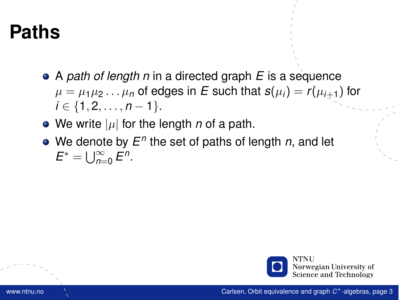- A *path of length n* in a directed graph *E* is a sequence  $\mu = \mu_1 \mu_2 \ldots \mu_n$  of edges in *E* such that  $s(\mu_i) = r(\mu_{i+1})$  for *i* ∈ {1, 2, . . . , *n* − 1}.
- We write  $|\mu|$  for the length *n* of a path.
- We denote by  $E^n$  the set of paths of length *n*, and let  $E^* = \bigcup_{n=0}^{\infty} E^n$ .

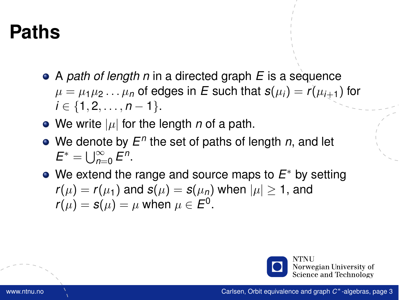- A *path of length n* in a directed graph *E* is a sequence  $\mu = \mu_1 \mu_2 \ldots \mu_n$  of edges in E such that  $s(\mu_i) = r(\mu_{i+1})$  for *i* ∈ {1, 2, . . . , *n* − 1}.
- We write  $|\mu|$  for the length *n* of a path.
- We denote by  $E^n$  the set of paths of length *n*, and let  $E^* = \bigcup_{n=0}^{\infty} E^n$ .
- We extend the range and source maps to *E* <sup>∗</sup> by setting  $r(\mu) = r(\mu_1)$  and  $s(\mu) = s(\mu_n)$  when  $|\mu| \geq 1$ , and  $r(\mu) = s(\mu) = \mu$  when  $\mu \in E^0$ .

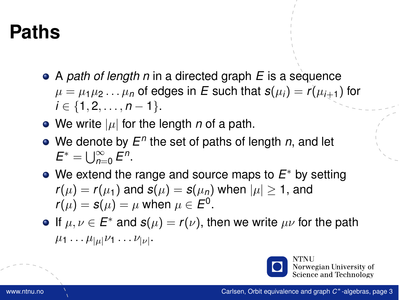- A *path of length n* in a directed graph *E* is a sequence  $\mu = \mu_1 \mu_2 \ldots \mu_n$  of edges in E such that  $s(\mu_i) = r(\mu_{i+1})$  for *i* ∈ {1, 2, . . . , *n* − 1}.
- We write  $|\mu|$  for the length *n* of a path.
- We denote by  $E^n$  the set of paths of length *n*, and let  $E^* = \bigcup_{n=0}^{\infty} E^n$ .
- We extend the range and source maps to *E* <sup>∗</sup> by setting  $r(\mu) = r(\mu_1)$  and  $s(\mu) = s(\mu_n)$  when  $|\mu| \geq 1$ , and  $r(\mu) = s(\mu) = \mu$  when  $\mu \in E^0$ .
- If  $\mu, \nu \in E^*$  and  $s(\mu) = r(\nu)$ , then we write  $\mu\nu$  for the path  $\mu_1 \dots \mu_{|\mu|} \nu_1 \dots \nu_{|\nu|}$ .



Norwegian University of Science and Technology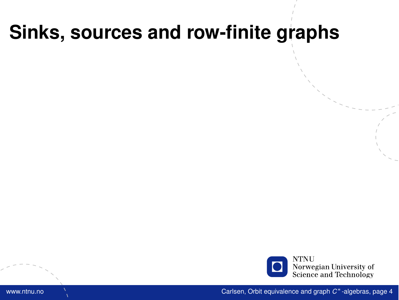### **Sinks, sources and row-finite graphs**



www.ntnu.no Carlsen, [Orbit equivalence and graph](#page-0-0) *C* \*-algebras, page 4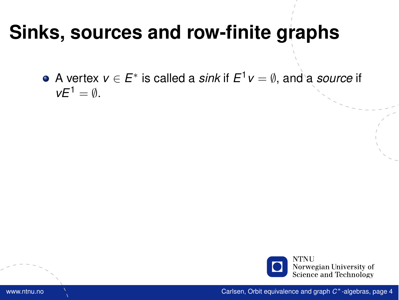#### **Sinks, sources and row-finite graphs**

A vertex *v* ∈ *E* ∗ is called a *sink* if *E* <sup>1</sup>*v* = ∅, and a *source* if  $vE^1 = \emptyset$ .

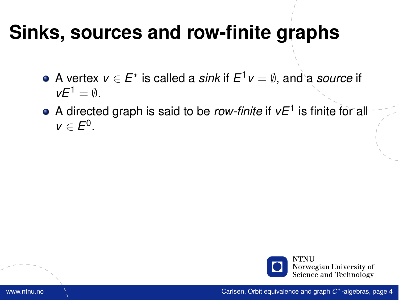### **Sinks, sources and row-finite graphs**

- A vertex *v* ∈ *E* ∗ is called a *sink* if *E* <sup>1</sup>*v* = ∅, and a *source* if  $vE^1 = \emptyset$ .
- A directed graph is said to be *row-finite* if *vE*<sup>1</sup> is finite for all  $v \in E^0$ .

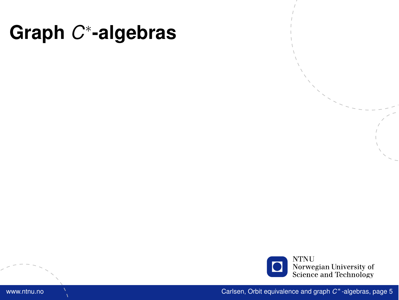# **Graph** *C* ∗ **-algebras**



www.ntnu.no Carlsen, [Orbit equivalence and graph](#page-0-0) *C* \*-algebras, page 5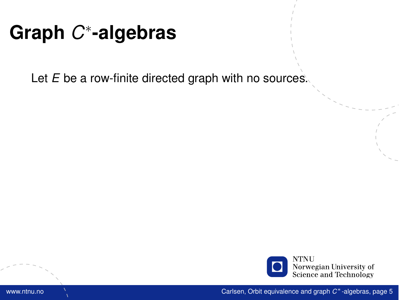# **Graph** *C* ∗ **-algebras**

Let *E* be a row-finite directed graph with no sources.

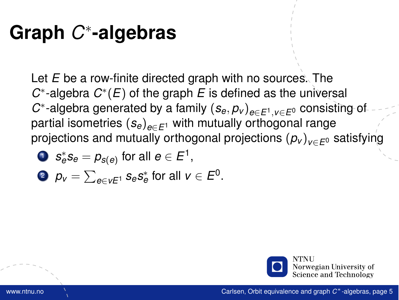# **Graph** *C* ∗ **-algebras**

Let *E* be a row-finite directed graph with no sources. The  $C^*$ -algebra  $C^*(E)$  of the graph *E* is defined as the universal *C* ∗ -algebra generated by a family (*se*, *p<sup>v</sup>* )*e*∈*E*1,*v*∈*E*<sup>0</sup> consisting of partial isometries (*se*)*e*∈*E*<sup>1</sup> with mutually orthogonal range projections and mutually orthogonal projections (*p<sup>v</sup>* )*v*∈*E*<sup>0</sup> satisfying

,

$$
\textcolor{red}{\bullet} \ \ \mathsf{s}_e^* \mathsf{s}_e = \rho_{\mathsf{s}(e)} \ \text{for all} \ e \in E^1
$$

$$
\bullet \ \ p_v = \sum_{e \in vE^1} s_e s_e^* \text{ for all } v \in E^0.
$$

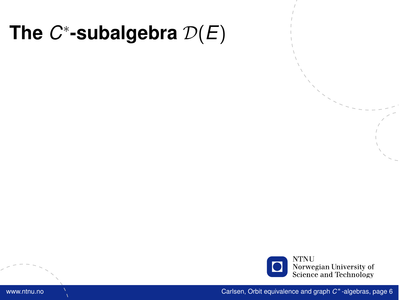

www.ntnu.no Carlsen, [Orbit equivalence and graph](#page-0-0) *C* \* -algebras, page 6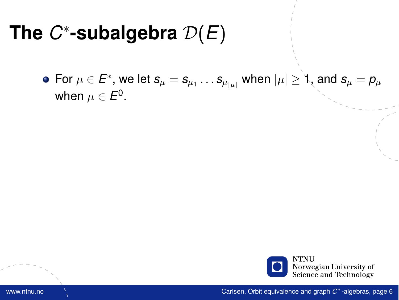For  $\mu\in E^*,$  we let  $\bm{s}_\mu=\bm{s}_{\mu_1}\dots\bm{s}_{\mu_{|\mu|}}$  when  $|\mu|\geq$  1, and  $\bm{s}_\mu=\bm{\rho}_\mu$ when  $\mu\in E^0.$ 

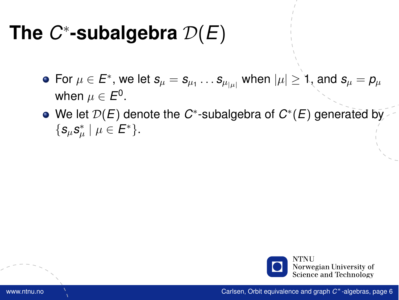- For  $\mu\in E^*,$  we let  $\bm{s}_\mu=\bm{s}_{\mu_1}\dots\bm{s}_{\mu_{|\mu|}}$  when  $|\mu|\geq$  1, and  $\bm{s}_\mu=\bm{\rho}_\mu$ when  $\mu\in E^0.$
- We let  $\mathcal{D}(E)$  denote the  $C^*$ -subalgebra of  $C^*(E)$  generated by  $\{s_\mu s^*_\mu \mid \mu \in E^*\}.$

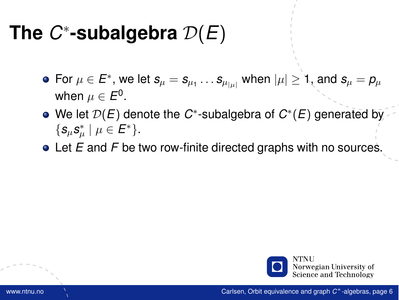- For  $\mu\in E^*,$  we let  $\bm{s}_\mu=\bm{s}_{\mu_1}\dots\bm{s}_{\mu_{|\mu|}}$  when  $|\mu|\geq$  1, and  $\bm{s}_\mu=\bm{\rho}_\mu$ when  $\mu\in E^0.$
- We let  $\mathcal{D}(E)$  denote the  $C^*$ -subalgebra of  $C^*(E)$  generated by  $\{s_\mu s^*_\mu \mid \mu \in E^*\}.$
- Let *E* and *F* be two row-finite directed graphs with no sources.

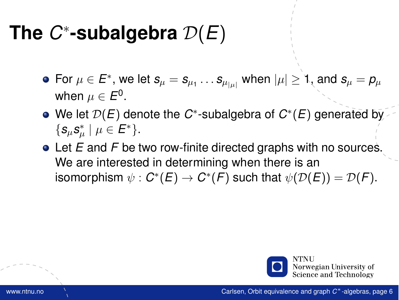- For  $\mu\in E^*,$  we let  $\bm{s}_\mu=\bm{s}_{\mu_1}\dots\bm{s}_{\mu_{|\mu|}}$  when  $|\mu|\geq$  1, and  $\bm{s}_\mu=\bm{\rho}_\mu$ when  $\mu\in E^0.$
- We let  $\mathcal{D}(E)$  denote the  $C^*$ -subalgebra of  $C^*(E)$  generated by  $\{s_\mu s^*_\mu \mid \mu \in E^*\}.$
- Let *E* and *F* be two row-finite directed graphs with no sources. We are interested in determining when there is an isomorphism  $\psi : C^*(E) \to C^*(F)$  such that  $\psi(\mathcal{D}(E)) = \mathcal{D}(F)$ .

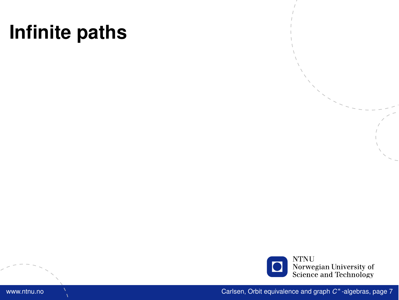

www.ntnu.no Carlsen, [Orbit equivalence and graph](#page-0-0) *C* \*-algebras, page 7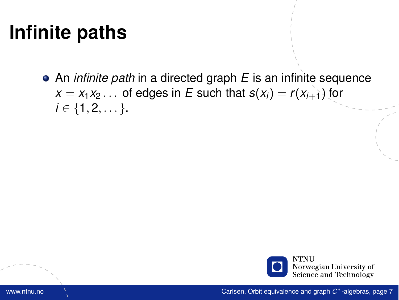An *infinite path* in a directed graph *E* is an infinite sequence  $x = x_1 x_2 \ldots$  of edges in *E* such that  $s(x_i) = r(x_{i+1})$  for  $i \in \{1, 2, \dots\}.$ 

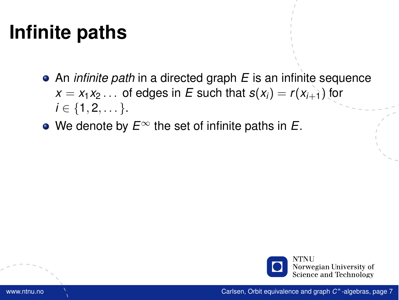- An *infinite path* in a directed graph *E* is an infinite sequence  $x = x_1 x_2 \ldots$  of edges in *E* such that  $s(x_i) = r(x_{i+1})$  for  $i \in \{1, 2, \dots\}.$
- We denote by *E*<sup>∞</sup> the set of infinite paths in *E*.

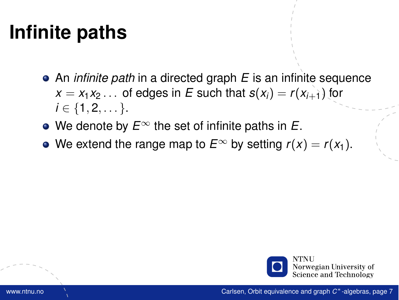- An *infinite path* in a directed graph *E* is an infinite sequence  $x = x_1 x_2 \ldots$  of edges in *E* such that  $s(x_i) = r(x_{i+1})$  for  $i \in \{1, 2, \dots\}.$
- We denote by *E*<sup>∞</sup> the set of infinite paths in *E*.
- We extend the range map to  $E^{\infty}$  by setting  $r(x) = r(x_1)$ .

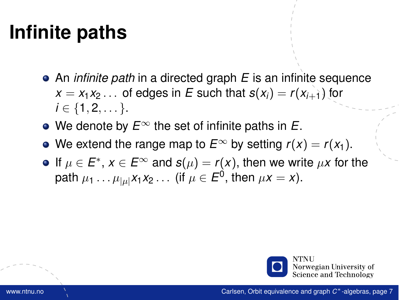- An *infinite path* in a directed graph *E* is an infinite sequence  $x = x_1 x_2 \ldots$  of edges in *E* such that  $s(x_i) = r(x_{i+1})$  for  $i \in \{1, 2, \dots\}.$
- We denote by *E*<sup>∞</sup> the set of infinite paths in *E*.
- We extend the range map to  $E^{\infty}$  by setting  $r(x) = r(x_1)$ .
- If  $\mu \in E^*$ ,  $x \in E^\infty$  and  $s(\mu) = r(x)$ , then we write  $\mu x$  for the path  $\mu_1 \dots \mu_{|\mu|} x_1 x_2 \dots$  (if  $\mu \in E^0,$  then  $\mu x = x$ ).

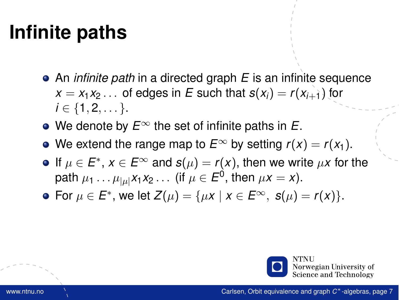- An *infinite path* in a directed graph *E* is an infinite sequence  $x = x_1 x_2 \ldots$  of edges in *E* such that  $s(x_i) = r(x_{i+1})$  for  $i \in \{1, 2, \dots\}.$
- We denote by *E*<sup>∞</sup> the set of infinite paths in *E*.
- We extend the range map to  $E^{\infty}$  by setting  $r(x) = r(x_1)$ .
- If  $\mu \in E^*$ ,  $x \in E^\infty$  and  $s(\mu) = r(x)$ , then we write  $\mu x$  for the path  $\mu_1 \dots \mu_{|\mu|} x_1 x_2 \dots$  (if  $\mu \in E^0,$  then  $\mu x = x$ ).
- For  $\mu \in E^*$ , we let  $Z(\mu) = {\mu x \mid x \in E^{\infty}, s(\mu) = r(x)}$ .

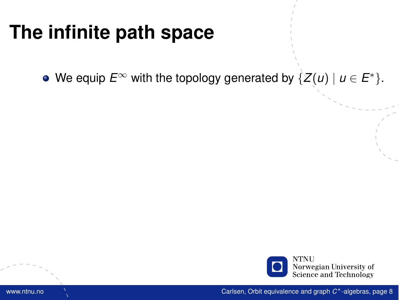We equip  $E^{\infty}$  with the topology generated by  $\{Z(u) \mid u \in E^*\}.$ 

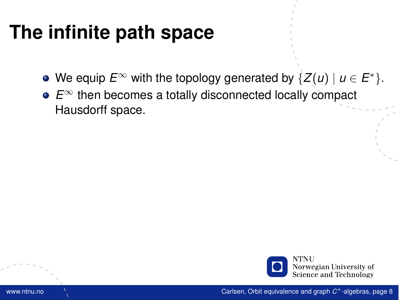- We equip  $E^{\infty}$  with the topology generated by  $\{Z(u) \mid u \in E^*\}.$
- *E*<sup>∞</sup> then becomes a totally disconnected locally compact Hausdorff space.

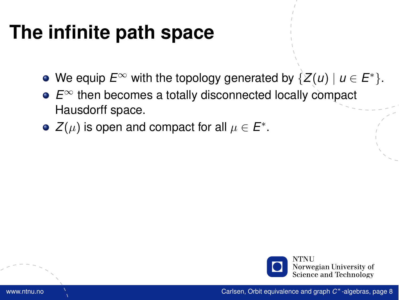- We equip  $E^{\infty}$  with the topology generated by  $\{Z(u) \mid u \in E^*\}.$
- *E*<sup>∞</sup> then becomes a totally disconnected locally compact Hausdorff space.
- $Z(\mu)$  is open and compact for all  $\mu \in E^*.$

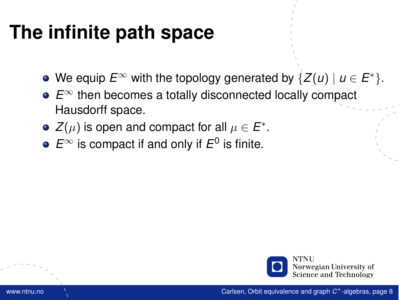- We equip  $E^{\infty}$  with the topology generated by  $\{Z(u) \mid u \in E^*\}.$
- *E*<sup>∞</sup> then becomes a totally disconnected locally compact Hausdorff space.
- $Z(\mu)$  is open and compact for all  $\mu \in E^*.$
- $E^{\infty}$  is compact if and only if  $E^0$  is finite.

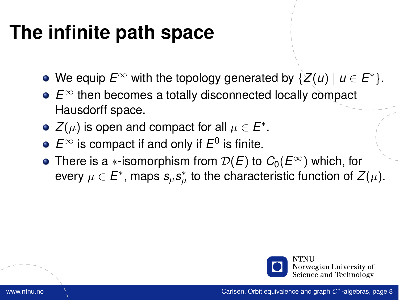- We equip  $E^{\infty}$  with the topology generated by  $\{Z(u) \mid u \in E^*\}.$
- *E*<sup>∞</sup> then becomes a totally disconnected locally compact Hausdorff space.
- $Z(\mu)$  is open and compact for all  $\mu \in E^*.$
- $E^{\infty}$  is compact if and only if  $E^0$  is finite.
- **•** There is a ∗-isomorphism from  $\mathcal{D}(E)$  to  $C_0(E^{\infty})$  which, for every  $\mu \in E^*$ , maps  $\mathbf{s}_{\mu} \mathbf{s}_{\mu}^*$  to the characteristic function of  $Z(\mu).$

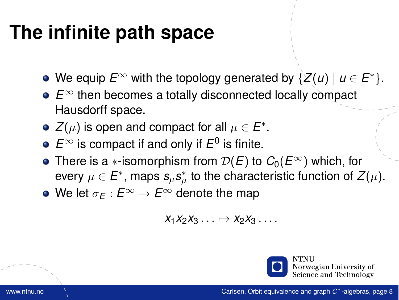### **The infinite path space**

- We equip  $E^{\infty}$  with the topology generated by  $\{Z(u) \mid u \in E^*\}.$
- *E*<sup>∞</sup> then becomes a totally disconnected locally compact Hausdorff space.
- $Z(\mu)$  is open and compact for all  $\mu \in E^*.$
- $E^{\infty}$  is compact if and only if  $E^0$  is finite.
- **•** There is a ∗-isomorphism from  $\mathcal{D}(E)$  to  $C_0(E^{\infty})$  which, for every  $\mu \in E^*$ , maps  $\mathbf{s}_{\mu} \mathbf{s}_{\mu}^*$  to the characteristic function of  $Z(\mu).$
- We let  $\sigma_F : E^\infty \to E^\infty$  denote the map

$$
x_1x_2x_3\ldots\mapsto x_2x_3\ldots
$$

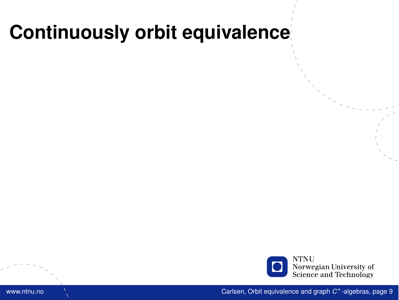

www.ntnu.no Carlsen, [Orbit equivalence and graph](#page-0-0) *C* \*-algebras, page 9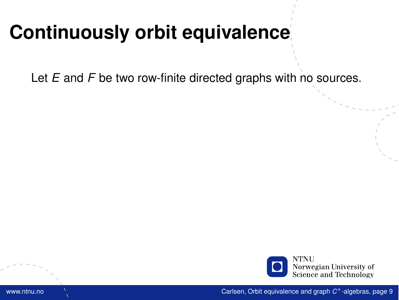Let *E* and *F* be two row-finite directed graphs with no sources.

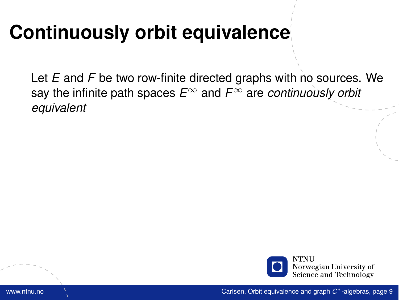Let *E* and *F* be two row-finite directed graphs with no sources. We say the infinite path spaces *E*<sup>∞</sup> and *F*<sup>∞</sup> are *continuously orbit equivalent*

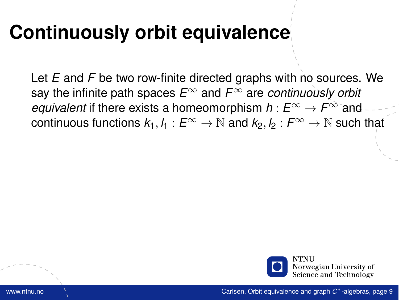Let *E* and *F* be two row-finite directed graphs with no sources. We say the infinite path spaces *E*<sup>∞</sup> and *F*<sup>∞</sup> are *continuously orbit equivalent* if there exists a homeomorphism  $h: E^{\infty} \to F^{\infty}$  and continuous functions  $k_1, l_1 : E^\infty \to \mathbb{N}$  and  $k_2, l_2 : F^\infty \to \mathbb{N}$  such that

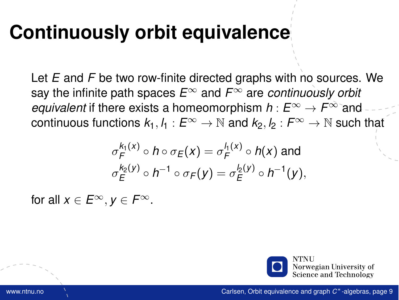Let *E* and *F* be two row-finite directed graphs with no sources. We say the infinite path spaces *E*<sup>∞</sup> and *F*<sup>∞</sup> are *continuously orbit equivalent* if there exists a homeomorphism  $h: E^{\infty} \to F^{\infty}$  and continuous functions  $k_1, l_1 : E^\infty \to \mathbb{N}$  and  $k_2, l_2 : F^\infty \to \mathbb{N}$  such that

$$
\sigma_F^{k_1(x)} \circ h \circ \sigma_E(x) = \sigma_F^{l_1(x)} \circ h(x) \text{ and}
$$
  

$$
\sigma_E^{k_2(y)} \circ h^{-1} \circ \sigma_F(y) = \sigma_E^{l_2(y)} \circ h^{-1}(y),
$$

for all  $x \in E^{\infty}$ ,  $y \in F^{\infty}$ .

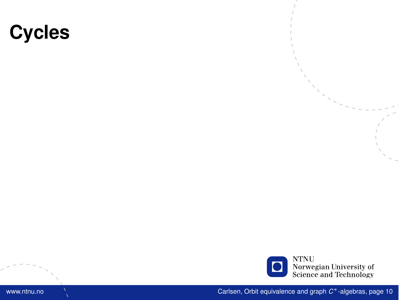### **Cycles**

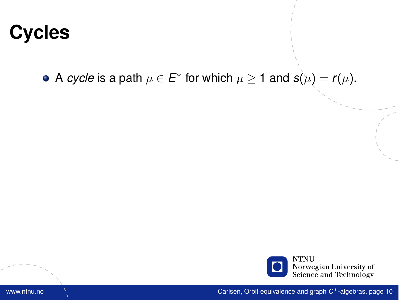## **Cycles**

A *cycle* is a path  $\mu \in E^*$  for which  $\mu \geq 1$  and  $\mathbf{s}(\mu) = \mathbf{r}(\mu).$ 

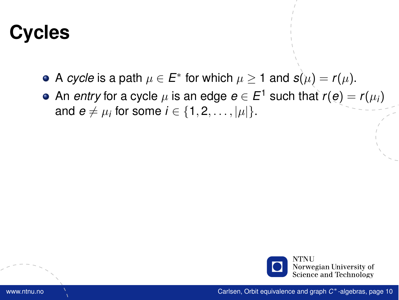# **Cycles**

- A *cycle* is a path  $\mu \in E^*$  for which  $\mu \geq 1$  and  $\mathbf{s}(\mu) = \mathbf{r}(\mu).$
- An *entry* for a cycle  $\mu$  is an edge  $\boldsymbol{e}\in E^1$  such that  $r(\boldsymbol{e})=r(\mu_i)$ and  $e \neq \mu_i$  for some  $i \in \{1, 2, \ldots, |\mu|\}.$

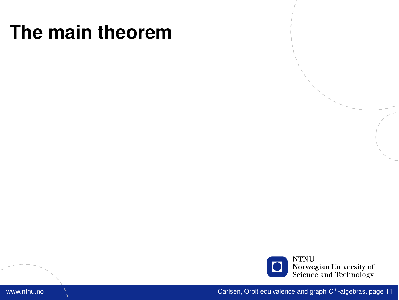

www.ntnu.no Carlsen, [Orbit equivalence and graph](#page-0-0) *C* <sup>∗</sup>-algebras, page 11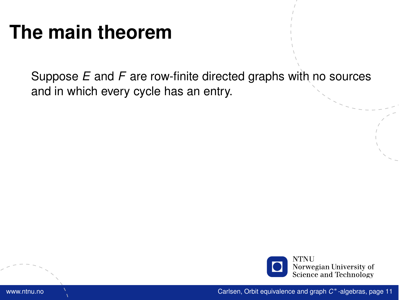Suppose *E* and *F* are row-finite directed graphs with no sources and in which every cycle has an entry.

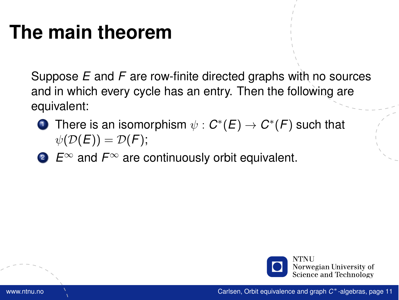Suppose *E* and *F* are row-finite directed graphs with no sources and in which every cycle has an entry. Then the following are equivalent:

- $\mathbf{D}$  There is an isomorphism  $\psi: \mathcal{C}^*(E) \to \mathcal{C}^*(F)$  such that  $\psi(\mathcal{D}(E)) = \mathcal{D}(F);$
- <sup>2</sup> *E*<sup>∞</sup> and *F*<sup>∞</sup> are continuously orbit equivalent.

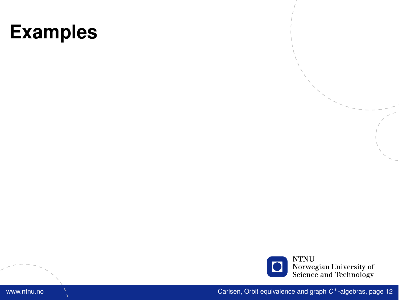

www.ntnu.no Carlsen, [Orbit equivalence and graph](#page-0-0) *C* <sup>∗</sup>-algebras, page 12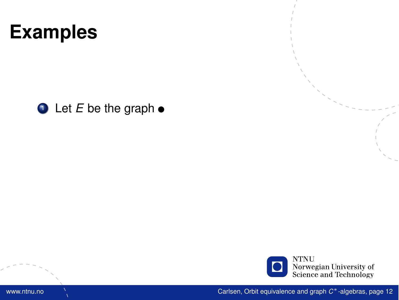

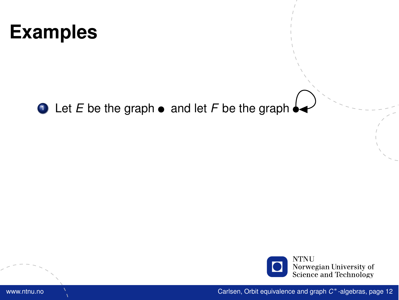

#### $\bullet$  Let *E* be the graph  $\bullet$  and let *F* be the graph  $\bullet$

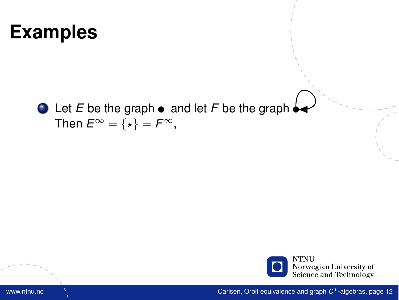#### $\bullet$  Let *E* be the graph  $\bullet$  and let *F* be the graph  $\bullet$ Then  $E^{\infty} = \{ \star \} = F^{\infty}$ ,

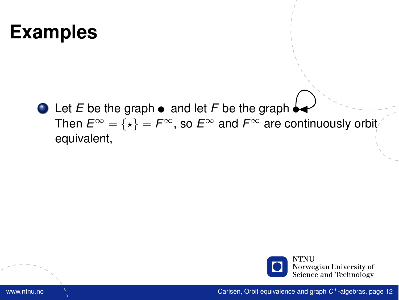$\bullet$  Let *E* be the graph  $\bullet$  and let *F* be the graph  $\bullet$ Then  $E^{\infty} = {\star} = F^{\infty}$ , so  $E^{\infty}$  and  $F^{\infty}$  are continuously orbit equivalent,

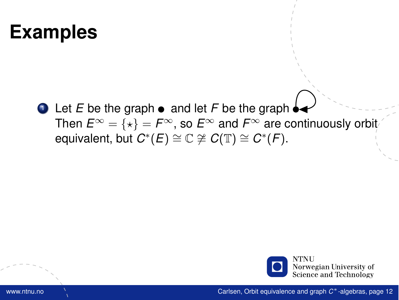$\bullet$  Let *E* be the graph  $\bullet$  and let *F* be the graph Then  $E^{\infty} = \{ \star \} = F^{\infty}$ , so  $E^{\infty}$  and  $F^{\infty}$  are continuously orbit  $\mathsf{equivalent}, \mathsf{but} \; \mathcal{C}^*(E) \cong \mathbb{C} \not\cong \mathcal{C}(\mathbb{T}) \cong \mathcal{C}^*(F).$ 

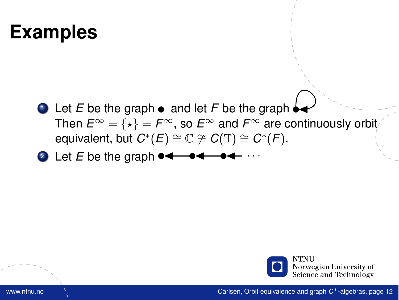- $\bullet$  Let *E* be the graph  $\bullet$  and let *F* be the graph Then  $E^{\infty} = \{ \star \} = F^{\infty}$ , so  $E^{\infty}$  and  $F^{\infty}$  are continuously orbit  $\mathsf{equivalent}, \mathsf{but} \; \mathcal{C}^*(E) \cong \mathbb{C} \not\cong \mathcal{C}(\mathbb{T}) \cong \mathcal{C}^*(F).$
- <sup>2</sup> Let *E* be the graph . . .

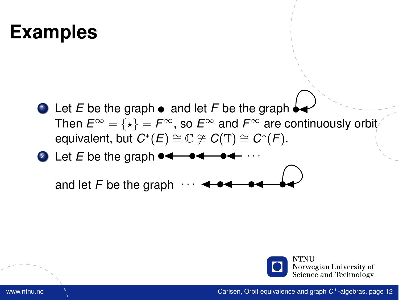- $\bullet$  Let *E* be the graph  $\bullet$  and let *F* be the graph Then  $E^{\infty} = \{ \star \} = F^{\infty}$ , so  $E^{\infty}$  and  $F^{\infty}$  are continuously orbit  $\mathsf{equivalent}, \mathsf{but} \; \mathcal{C}^*(E) \cong \mathbb{C} \not\cong \mathcal{C}(\mathbb{T}) \cong \mathcal{C}^*(F).$
- 2 Let  $E$  be the graph  $\rightarrow$

and let  $F$  be the graph

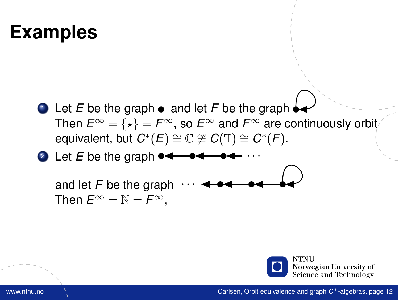- $\bullet$  Let *E* be the graph  $\bullet$  and let *F* be the graph Then  $E^{\infty} = \{ \star \} = F^{\infty}$ , so  $E^{\infty}$  and  $F^{\infty}$  are continuously orbit  $\mathsf{equivalent}, \mathsf{but} \; \mathcal{C}^*(E) \cong \mathbb{C} \not\cong \mathcal{C}(\mathbb{T}) \cong \mathcal{C}^*(F).$
- <sup>2</sup> Let *E* be the graph . . .

and let  $F$  be the graph Then  $E^{\infty} = \mathbb{N} = F^{\infty}$ .

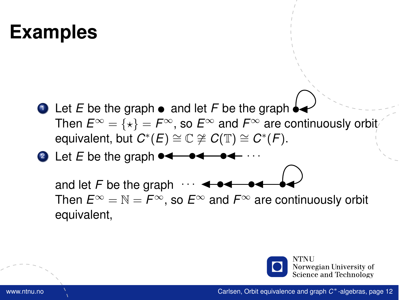- $\bullet$  Let *E* be the graph  $\bullet$  and let *F* be the graph Then  $E^{\infty} = \{ \star \} = F^{\infty}$ , so  $E^{\infty}$  and  $F^{\infty}$  are continuously orbit  $\mathsf{equivalent}, \mathsf{but} \; \mathcal{C}^*(E) \cong \mathbb{C} \not\cong \mathcal{C}(\mathbb{T}) \cong \mathcal{C}^*(F).$
- <sup>2</sup> Let *E* be the graph . . .

and let  $F$  be the graph Then  $E^{\infty} = \mathbb{N} = F^{\infty}$ , so  $E^{\infty}$  and  $F^{\infty}$  are continuously orbit equivalent,

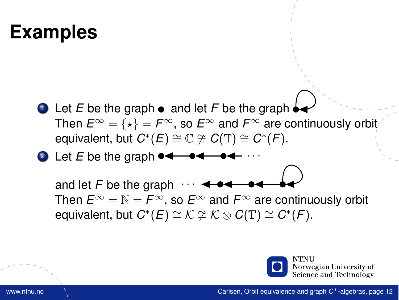- $\bullet$  Let *E* be the graph  $\bullet$  and let *F* be the graph Then  $E^{\infty} = \{ \star \} = F^{\infty}$ , so  $E^{\infty}$  and  $F^{\infty}$  are continuously orbit  $\mathsf{equivalent}, \mathsf{but} \; \mathcal{C}^*(E) \cong \mathbb{C} \not\cong \mathcal{C}(\mathbb{T}) \cong \mathcal{C}^*(F).$
- <sup>2</sup> Let *E* be the graph . . .

and let  $F$  be the graph Then  $E^{\infty} = \mathbb{N} = F^{\infty}$ , so  $E^{\infty}$  and  $F^{\infty}$  are continuously orbit equivalent, but  $C^*(E) \cong K \not\cong K \otimes C(\mathbb{T}) \cong C^*(F)$ .

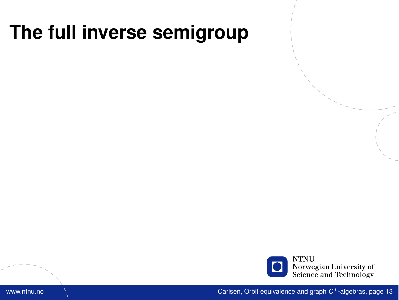

www.ntnu.no Carlsen, [Orbit equivalence and graph](#page-0-0) *C* <sup>∗</sup>-algebras, page 13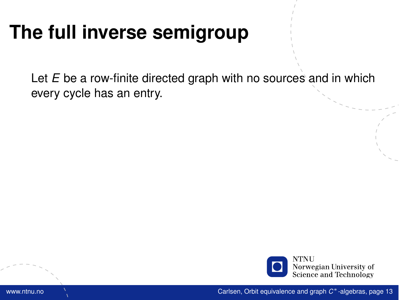Let *E* be a row-finite directed graph with no sources and in which every cycle has an entry.

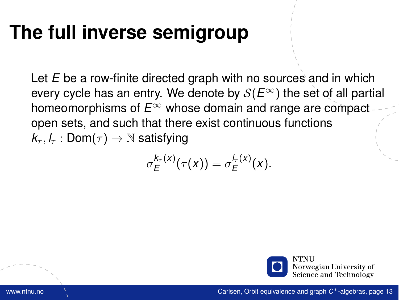Let *E* be a row-finite directed graph with no sources and in which every cycle has an entry. We denote by  $S(E^{\infty})$  the set of all partial homeomorphisms of *E*<sup>∞</sup> whose domain and range are compact open sets, and such that there exist continuous functions  $k_{\tau}$ ,  $l_{\tau}$  : Dom $(\tau) \rightarrow \mathbb{N}$  satisfying

$$
\sigma_E^{k_\tau(x)}(\tau(x))=\sigma_E^{l_\tau(x)}(x).
$$

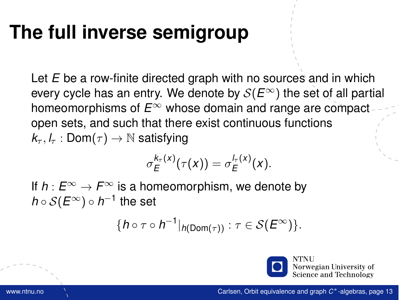Let *E* be a row-finite directed graph with no sources and in which every cycle has an entry. We denote by  $S(E^{\infty})$  the set of all partial homeomorphisms of *E*<sup>∞</sup> whose domain and range are compact open sets, and such that there exist continuous functions  $k_{\tau}, l_{\tau} : Dom(\tau) \rightarrow \mathbb{N}$  satisfying

$$
\sigma_E^{k_\tau(x)}(\tau(x))=\sigma_E^{l_\tau(x)}(x).
$$

If  $h: E^{\infty} \to F^{\infty}$  is a homeomorphism, we denote by *h* ◦ S(*E*∞) ◦ *h* −1 the set

$$
\{h\circ\tau\circ h^{-1}|_{h(\mathsf{Dom}(\tau))}:\tau\in\mathcal{S}(E^{\infty})\}.
$$

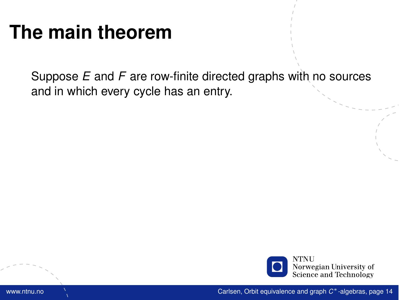Suppose *E* and *F* are row-finite directed graphs with no sources and in which every cycle has an entry.

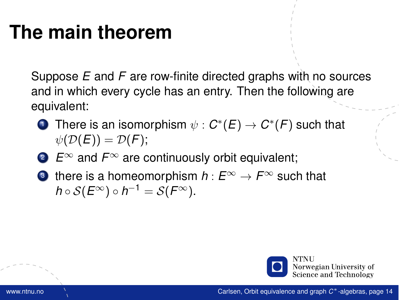Suppose *E* and *F* are row-finite directed graphs with no sources and in which every cycle has an entry. Then the following are equivalent:

- $\mathbf{D}$  There is an isomorphism  $\psi: \mathcal{C}^*(E) \to \mathcal{C}^*(F)$  such that  $\psi(\mathcal{D}(E)) = \mathcal{D}(F);$
- <sup>2</sup> *E*<sup>∞</sup> and *F*<sup>∞</sup> are continuously orbit equivalent;
- **3** there is a homeomorphism  $h: E^{\infty} \to F^{\infty}$  such that  $h\circ\mathcal{S}(E^{\infty})\circ h^{-1}=\mathcal{S}(F^{\infty}).$

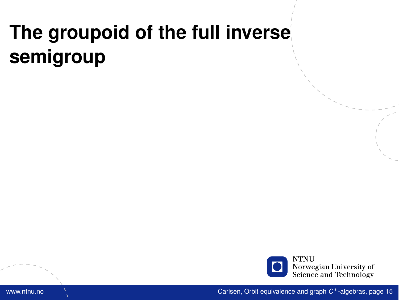

www.ntnu.no Carlsen, [Orbit equivalence and graph](#page-0-0) *C* <sup>∗</sup>-algebras, page 15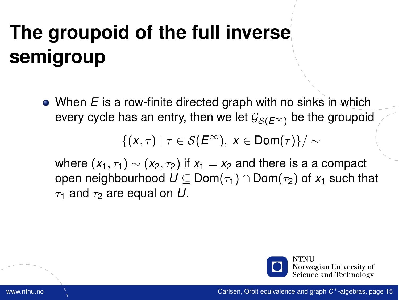When *E* is a row-finite directed graph with no sinks in which every cycle has an entry, then we let  $\mathcal{G}_{\mathcal{S}(E^{\infty})}$  be the groupoid

$$
\{(x,\tau)\mid \tau\in\mathcal{S}(E^\infty),\;x\in\mathsf{Dom}(\tau)\}/\sim
$$

where  $(x_1, \tau_1) \sim (x_2, \tau_2)$  if  $x_1 = x_2$  and there is a a compact open neighbourhood  $U \subseteq Dom(\tau_1) \cap Dom(\tau_2)$  of  $x_1$  such that  $\tau_1$  and  $\tau_2$  are equal on U.

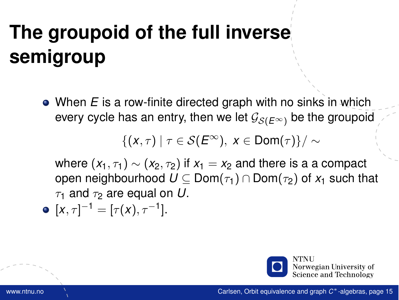When *E* is a row-finite directed graph with no sinks in which every cycle has an entry, then we let  $\mathcal{G}_{\mathcal{S}(E^{\infty})}$  be the groupoid

$$
\{(x,\tau)\mid \tau\in\mathcal{S}(E^\infty),\;x\in\mathsf{Dom}(\tau)\}/\sim
$$

where  $(x_1, \tau_1) \sim (x_2, \tau_2)$  if  $x_1 = x_2$  and there is a a compact open neighbourhood  $U \subseteq Dom(\tau_1) \cap Dom(\tau_2)$  of  $x_1$  such that  $\tau_1$  and  $\tau_2$  are equal on U.

• 
$$
[x, \tau]^{-1} = [\tau(x), \tau^{-1}].
$$

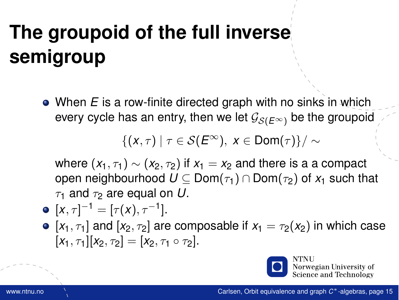When *E* is a row-finite directed graph with no sinks in which every cycle has an entry, then we let  $\mathcal{G}_{\mathcal{S}(E^{\infty})}$  be the groupoid

$$
\{(x,\tau)\mid \tau\in\mathcal{S}(E^\infty),\; x\in\mathsf{Dom}(\tau)\}/\sim
$$

where  $(x_1, \tau_1) \sim (x_2, \tau_2)$  if  $x_1 = x_2$  and there is a a compact open neighbourhood  $U \subseteq Dom(\tau_1) \cap Dom(\tau_2)$  of  $x_1$  such that  $\tau_1$  and  $\tau_2$  are equal on U.

• 
$$
[x, \tau]^{-1} = [\tau(x), \tau^{-1}].
$$

•  $[x_1, \tau_1]$  and  $[x_2, \tau_2]$  are composable if  $x_1 = \tau_2(x_2)$  in which case  $[X_1, \tau_1][X_2, \tau_2] = [X_2, \tau_1 \circ \tau_2].$ 



Norwegian University of Science and Technology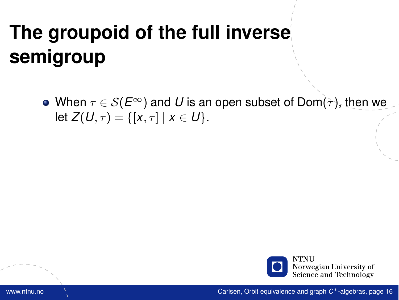• When  $\tau \in \mathcal{S}(E^{\infty})$  and *U* is an open subset of Dom( $\tau$ ), then we let  $Z(U, \tau) = \{ [x, \tau] | x \in U \}.$ 

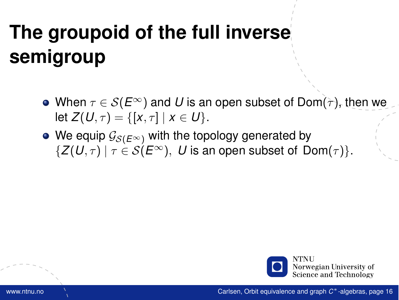- When  $\tau \in \mathcal{S}(E^{\infty})$  and U is an open subset of Dom( $\tau$ ), then we let  $Z(U, \tau) = \{ [x, \tau] \mid x \in U \}.$
- We equip  $\mathcal{G}_{S(E^{\infty})}$  with the topology generated by  $\{Z(U,\tau) \mid \tau \in \mathcal{S}(E^{\infty}), U$  is an open subset of Dom( $\tau$ ).

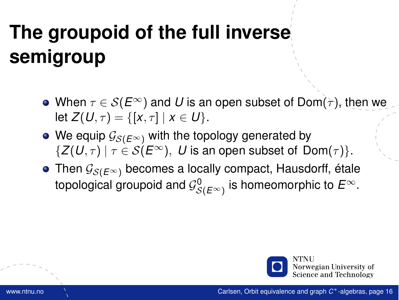- When  $\tau \in \mathcal{S}(E^{\infty})$  and U is an open subset of Dom( $\tau$ ), then we let  $Z(U, \tau) = \{ [x, \tau] | x \in U \}.$
- We equip  $\mathcal{G}_{S(E^{\infty})}$  with the topology generated by  $\{Z(U,\tau) \mid \tau \in \mathcal{S}(E^{\infty}), U$  is an open subset of Dom( $\tau$ ).
- Then  $\mathcal{G}_{\mathcal{S}(E^{\infty})}$  becomes a locally compact, Hausdorff, étale topological groupoid and  $\mathcal{G}^0_{\mathcal{S}(E^\infty)}$  is homeomorphic to  $E^\infty.$

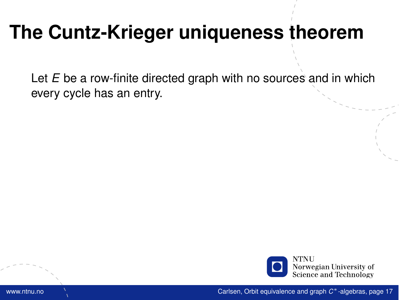# **The Cuntz-Krieger uniqueness theorem**

Let *E* be a row-finite directed graph with no sources and in which every cycle has an entry.

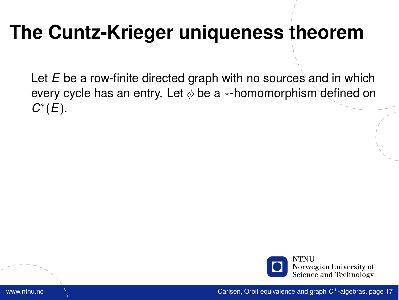# **The Cuntz-Krieger uniqueness theorem**

Let *E* be a row-finite directed graph with no sources and in which every cycle has an entry. Let  $\phi$  be a  $*$ -homomorphism defined on *C* ∗ (*E*).

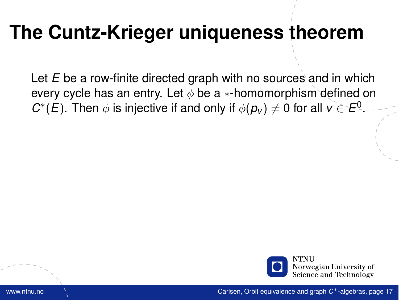# **The Cuntz-Krieger uniqueness theorem**

Let *E* be a row-finite directed graph with no sources and in which every cycle has an entry. Let  $\phi$  be a  $*$ -homomorphism defined on *C*<sup>\*</sup>(*E*). Then  $\phi$  is injective if and only if  $\phi(p_v) \neq 0$  for all  $v \in E^0$ .

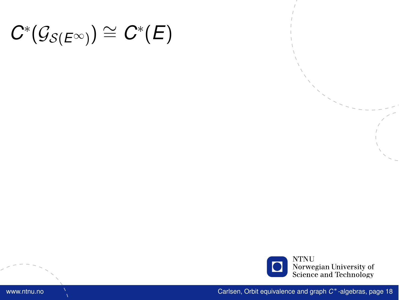

www.ntnu.no Carlsen, [Orbit equivalence and graph](#page-0-0) *C* <sup>∗</sup>-algebras, page 18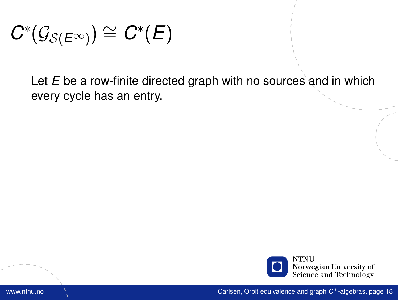Let *E* be a row-finite directed graph with no sources and in which every cycle has an entry.

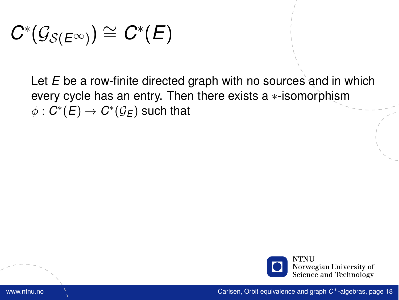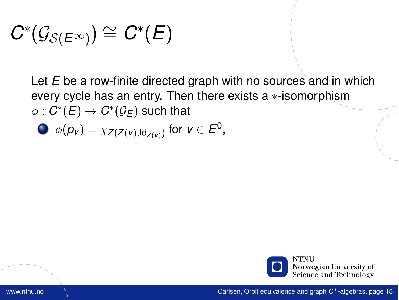$$
\Phi(\rho_v) = \chi_{Z(Z(v),\mathsf{Id}_{Z(v)})} \text{ for } v \in E^0,
$$

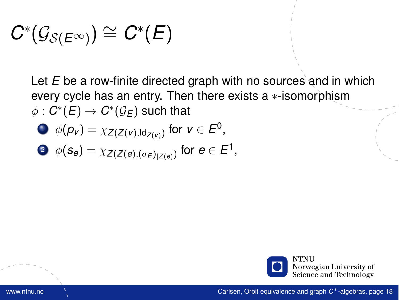$$
\Phi(\rho_v) = \chi_{Z(Z(v),\mathsf{Id}_{Z(v)})} \text{ for } v \in E^0,
$$

$$
\bullet \ \phi(\mathbf{s}_e) = \chi_{Z(Z(e), (\sigma_E)_{|Z(e)})} \text{ for } e \in E^1,
$$

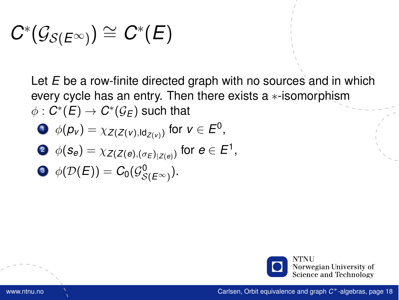$$
\Phi(\rho_v) = \chi_{Z(Z(v),\text{Id}_{Z(v)})} \text{ for } v \in E^0,
$$

$$
\bullet \ \phi(\mathbf{s}_e) = \chi_{Z(Z(e), (\sigma_E)_{|Z(e)})} \text{ for } e \in E^1,
$$

$$
\quad \, \bullet \,\, \phi(\mathcal{D}(E))=C_0(\mathcal{G}^0_{\mathcal{S}(E^{\infty})}).
$$

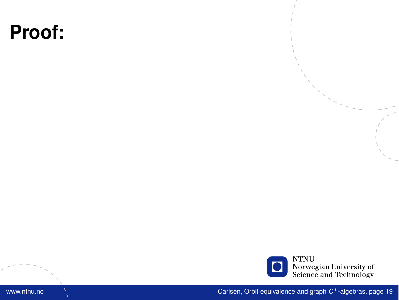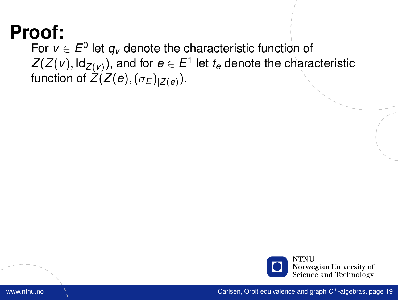For  $v \in E^0$  let  $q_v$  denote the characteristic function of  $\mathsf{Z}(\mathsf{Z}(\mathsf{v}), \mathsf{Id}_{\mathsf{Z}(\mathsf{v})}),$  and for  $e \in E^1$  let  $t_e$  denote the characteristic function of  $Z(Z(e),(\sigma_E)_{|Z(e)}).$ 

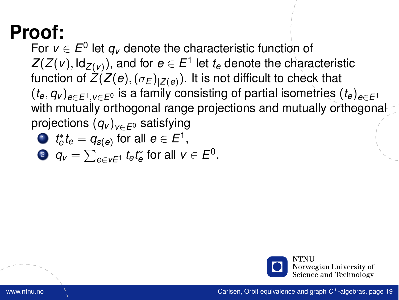For  $v \in E^0$  let  $q_v$  denote the characteristic function of  $\mathsf{Z}(\mathsf{Z}(\mathsf{v}), \mathsf{Id}_{\mathsf{Z}(\mathsf{v})}),$  and for  $e \in E^1$  let  $t_e$  denote the characteristic function of  $Z(Z(e),(\sigma_E)_{|Z(e)})$ . It is not difficult to check that  $(t_e, q_v)_{e \in E^1, v \in E^0}$  is a family consisting of partial isometries  $(t_e)_{e \in E^1}$ with mutually orthogonal range projections and mutually orthogonal projections (*q<sup>v</sup>* )*v*∈*E*<sup>0</sup> satisfying

• 
$$
t_e^* t_e = q_{s(e)}
$$
 for all  $e \in E^1$ ,

$$
\bullet \ \ q_v = \textstyle \sum_{e \in vE^1} t_e t_e^* \text{ for all } v \in E^0.
$$

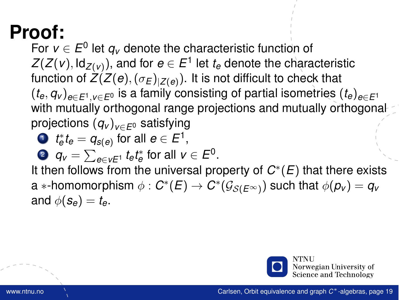For  $v \in E^0$  let  $q_v$  denote the characteristic function of  $\mathsf{Z}(\mathsf{Z}(\mathsf{v}), \mathsf{Id}_{\mathsf{Z}(\mathsf{v})}),$  and for  $e \in E^1$  let  $t_e$  denote the characteristic function of  $Z(Z(e),(\sigma_E)_{|Z(e)})$ . It is not difficult to check that  $(t_e, q_v)_{e \in E^1, v \in E^0}$  is a family consisting of partial isometries  $(t_e)_{e \in E^1}$ with mutually orthogonal range projections and mutually orthogonal projections (*q<sup>v</sup>* )*v*∈*E*<sup>0</sup> satisfying

$$
\textcolor{red}{\bullet}~~t_e^*t_e=q_{s(e)} \text{ for all } e\in E^1,
$$

$$
\bullet \ \ q_v = \textstyle \sum_{e \in vE^1} t_e t_e^* \text{ for all } v \in E^0.
$$

It then follows from the universal property of *C* ∗ (*E*) that there exists  $\mathsf{a}$   $\ast$ -homomorphism  $\phi : \mathit{C}^\ast(\mathit{E}) \to \mathit{C}^\ast(\mathcal{G}_{\mathcal{S}(\mathit{E}^\infty)})$  such that  $\phi(\mathit{p}_\mathit{v}) = \mathit{q}_\mathit{v}$ and  $\phi(\mathbf{s}_e) = t_e$ .

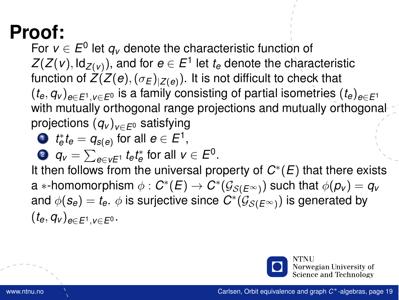For  $v \in E^0$  let  $q_v$  denote the characteristic function of  $\mathsf{Z}(\mathsf{Z}(\mathsf{v}), \mathsf{Id}_{\mathsf{Z}(\mathsf{v})}),$  and for  $e \in E^1$  let  $t_e$  denote the characteristic function of  $Z(Z(e),(\sigma_E)_{|Z(e)})$ . It is not difficult to check that  $(t_e, q_v)_{e \in E^1, v \in E^0}$  is a family consisting of partial isometries  $(t_e)_{e \in E^1}$ with mutually orthogonal range projections and mutually orthogonal projections (*q<sup>v</sup>* )*v*∈*E*<sup>0</sup> satisfying

$$
\textcolor{red}{\bullet}~~t_e^*t_e=q_{s(e)} \text{ for all } e\in E^1,
$$

$$
\bullet \ \ q_v = \sum_{e \in vE^1} t_e t_e^* \text{ for all } v \in E^0.
$$

It then follows from the universal property of *C* ∗ (*E*) that there exists  $\mathsf{a}$   $\ast$ -homomorphism  $\phi : \mathit{C}^\ast(\mathit{E}) \to \mathit{C}^\ast(\mathcal{G}_{\mathcal{S}(\mathit{E}^\infty)})$  such that  $\phi(\mathit{p}_\mathit{v}) = \mathit{q}_\mathit{v}$ and  $\phi(\bm{s}_{\bm{e}})=t_{\bm{e}}$ .  $\phi$  is surjective since  $\bm{C}^*(\mathcal{G}_{\mathcal{S}(\bm{E}^{\infty})})$  is generated by  $(t_e, q_v)_{e∈E^1, v∈E^0}.$ 

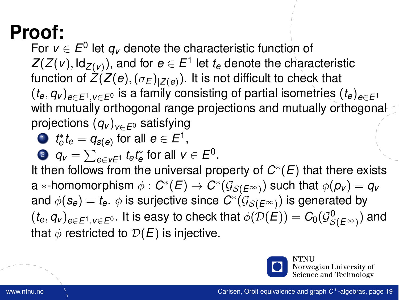For  $v \in E^0$  let  $q_v$  denote the characteristic function of  $\mathsf{Z}(\mathsf{Z}(\mathsf{v}), \mathsf{Id}_{\mathsf{Z}(\mathsf{v})}),$  and for  $e \in E^1$  let  $t_e$  denote the characteristic function of  $Z(Z(e),(\sigma_E)_{|Z(e)})$ . It is not difficult to check that  $(t_e, q_v)_{e \in F^1}$ ,  $v \in F^0$  is a family consisting of partial isometries  $(t_e)_{e \in F^1}$ with mutually orthogonal range projections and mutually orthogonal projections (*q<sup>v</sup>* )*v*∈*E*<sup>0</sup> satisfying

$$
\bullet \;\; t_e^* t_e = q_{s(e)} \text{ for all } e \in E^1,
$$

?  $q_v = \sum_{e \in v E^1} t_e t_e^*$  for all  $v \in E^0.$ 

It then follows from the universal property of *C* ∗ (*E*) that there exists  $\mathsf{a}$   $\ast$ -homomorphism  $\phi : \mathit{C}^\ast(\mathit{E}) \to \mathit{C}^\ast(\mathcal{G}_{\mathcal{S}(\mathit{E}^\infty)})$  such that  $\phi(\mathit{p}_\mathit{v}) = \mathit{q}_\mathit{v}$ and  $\phi(\bm{s}_{\bm{e}})=t_{\bm{e}}$ .  $\phi$  is surjective since  $\bm{C}^*(\mathcal{G}_{\mathcal{S}(\bm{E}^{\infty})})$  is generated by  $(t_e,q_v)_{e\in E^1,v\in E^0}.$  It is easy to check that  $\phi(\mathcal{D}(E))=C_0(\mathcal{G}_{\mathcal{S}(E^\infty)}^0)$  and that  $\phi$  restricted to  $\mathcal{D}(E)$  is injective.



Norwegian University of Science and Technology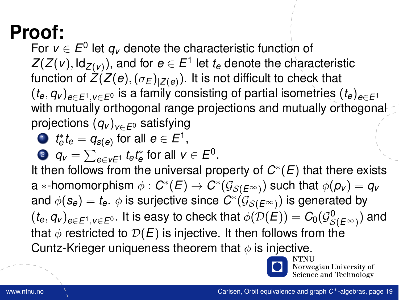For  $v \in E^0$  let  $q_v$  denote the characteristic function of  $\mathsf{Z}(\mathsf{Z}(\mathsf{v}), \mathsf{Id}_{\mathsf{Z}(\mathsf{v})}),$  and for  $e \in E^1$  let  $t_e$  denote the characteristic function of  $Z(Z(e),(\sigma_E)_{|Z(e)})$ . It is not difficult to check that  $(t_e, q_v)_{e \in E^1, v \in E^0}$  is a family consisting of partial isometries  $(t_e)_{e \in E^1}$ with mutually orthogonal range projections and mutually orthogonal projections (*q<sup>v</sup>* )*v*∈*E*<sup>0</sup> satisfying

$$
\bullet \ \ t^*_\mathsf{e} t_\mathsf{e} = q_{s(\mathsf{e})} \text{ for all } \mathsf{e} \in E^1,
$$

?  $q_v = \sum_{e \in v E^1} t_e t_e^*$  for all  $v \in E^0.$ 

It then follows from the universal property of *C* ∗ (*E*) that there exists  $\mathsf{a}$   $\ast$ -homomorphism  $\phi : \mathit{C}^\ast(\mathit{E}) \to \mathit{C}^\ast(\mathcal{G}_{\mathcal{S}(\mathit{E}^\infty)})$  such that  $\phi(\mathit{p}_\mathit{v}) = \mathit{q}_\mathit{v}$ and  $\phi(\bm{s}_{\bm{e}})=t_{\bm{e}}$ .  $\phi$  is surjective since  $\bm{C}^*(\mathcal{G}_{\mathcal{S}(\bm{E}^{\infty})})$  is generated by  $(t_e,q_v)_{e\in E^1,v\in E^0}.$  It is easy to check that  $\phi(\mathcal{D}(E))=C_0(\mathcal{G}_{\mathcal{S}(E^\infty)}^0)$  and that  $\phi$  restricted to  $\mathcal{D}(E)$  is injective. It then follows from the Cuntz-Krieger uniqueness theorem that  $\phi$  is injective.



.<br>Norwegian University of Science and Technology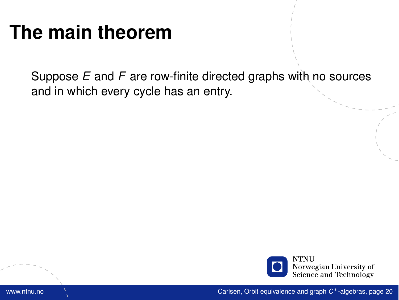# **The main theorem**

Suppose *E* and *F* are row-finite directed graphs with no sources and in which every cycle has an entry.

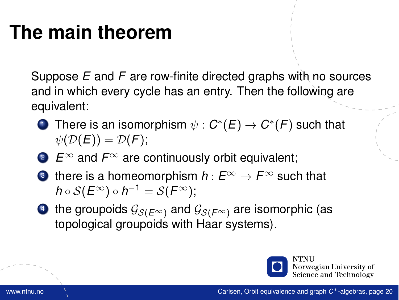# **The main theorem**

Suppose *E* and *F* are row-finite directed graphs with no sources and in which every cycle has an entry. Then the following are equivalent:

- $\mathbf{D}$  There is an isomorphism  $\psi: \mathcal{C}^*(E) \to \mathcal{C}^*(F)$  such that  $\psi(\mathcal{D}(E)) = \mathcal{D}(F);$
- <sup>2</sup> *E*<sup>∞</sup> and *F*<sup>∞</sup> are continuously orbit equivalent;
- **3** there is a homeomorphism  $h: E^{\infty} \to F^{\infty}$  such that  $h\circ\mathcal{S}(E^{\infty})\circ h^{-1}=\mathcal{S}(F^{\infty});$
- 4 the groupoids  $\mathcal{G}_{S(E^{\infty})}$  and  $\mathcal{G}_{S(F^{\infty})}$  are isomorphic (as topological groupoids with Haar systems).

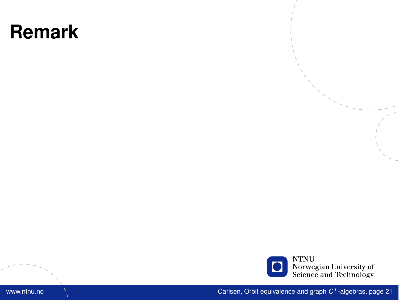#### **Remark**



www.ntnu.no Carlsen, [Orbit equivalence and graph](#page-0-0) *C* <sup>∗</sup>-algebras, page 21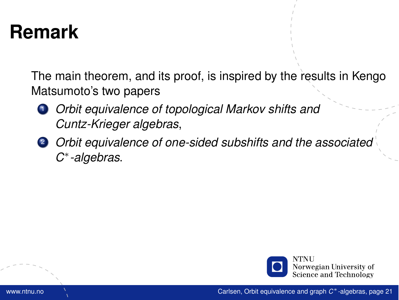### **Remark**

The main theorem, and its proof, is inspired by the results in Kengo Matsumoto's two papers

- <sup>1</sup> *Orbit equivalence of topological Markov shifts and Cuntz-Krieger algebras*,
- <sup>2</sup> *Orbit equivalence of one-sided subshifts and the associated C* ∗ *-algebras*.

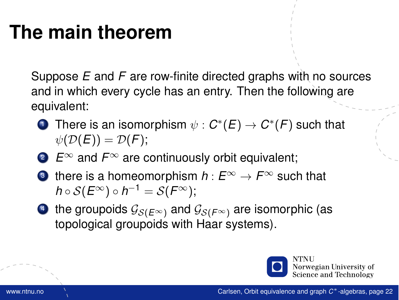# **The main theorem**

Suppose *E* and *F* are row-finite directed graphs with no sources and in which every cycle has an entry. Then the following are equivalent:

- $\mathbf{D}$  There is an isomorphism  $\psi: \mathcal{C}^*(E) \to \mathcal{C}^*(F)$  such that  $\psi(\mathcal{D}(E)) = \mathcal{D}(F);$
- <sup>2</sup> *E*<sup>∞</sup> and *F*<sup>∞</sup> are continuously orbit equivalent;
- **3** there is a homeomorphism  $h: E^{\infty} \to F^{\infty}$  such that  $h\circ\mathcal{S}(E^{\infty})\circ h^{-1}=\mathcal{S}(F^{\infty});$
- 4 the groupoids  $\mathcal{G}_{S(E^{\infty})}$  and  $\mathcal{G}_{S(F^{\infty})}$  are isomorphic (as topological groupoids with Haar systems).

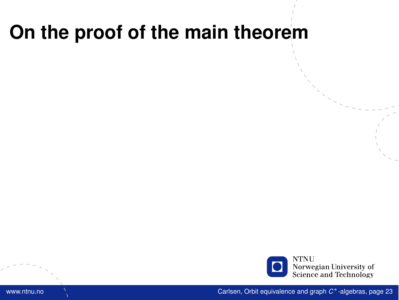

www.ntnu.no Carlsen, [Orbit equivalence and graph](#page-0-0) *C* <sup>∗</sup>-algebras, page 23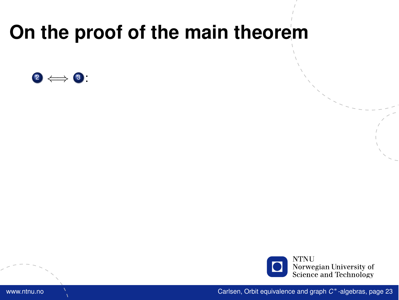

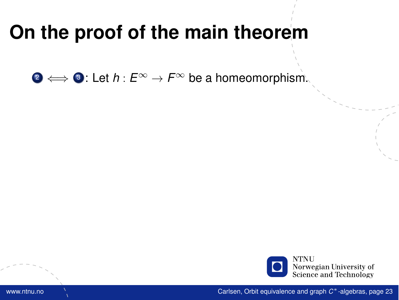**2**  $\Longleftrightarrow$  3: Let *h* :  $E^{\infty}$  →  $F^{\infty}$  be a homeomorphism.

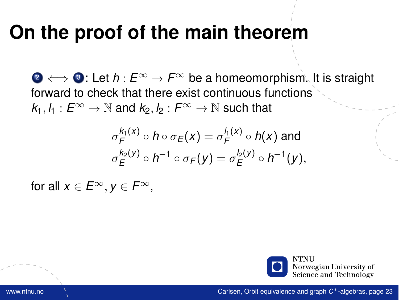<sup>2</sup> ⇐⇒ <sup>3</sup> : Let *h* : *E*<sup>∞</sup> → *F*<sup>∞</sup> be a homeomorphism. It is straight forward to check that there exist continuous functions  $k_1, l_1 : E^{\infty} \to \mathbb{N}$  and  $k_2, l_2 : F^{\infty} \to \mathbb{N}$  such that

$$
\sigma_F^{k_1(X)} \circ h \circ \sigma_E(x) = \sigma_F^{l_1(X)} \circ h(x) \text{ and}
$$
  

$$
\sigma_E^{k_2(Y)} \circ h^{-1} \circ \sigma_F(y) = \sigma_E^{l_2(Y)} \circ h^{-1}(y),
$$

for all  $x \in E^{\infty}$ ,  $y \in F^{\infty}$ ,

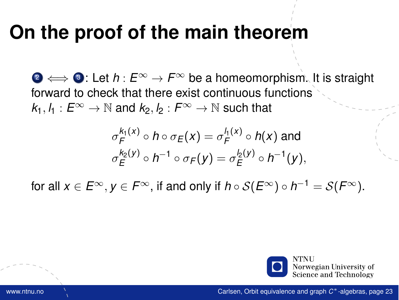<sup>2</sup> ⇐⇒ <sup>3</sup> : Let *h* : *E*<sup>∞</sup> → *F*<sup>∞</sup> be a homeomorphism. It is straight forward to check that there exist continuous functions  $k_1, l_1 : E^{\infty} \to \mathbb{N}$  and  $k_2, l_2 : F^{\infty} \to \mathbb{N}$  such that

$$
\sigma_F^{k_1(x)} \circ h \circ \sigma_E(x) = \sigma_F^{l_1(x)} \circ h(x) \text{ and}
$$
  

$$
\sigma_E^{k_2(y)} \circ h^{-1} \circ \sigma_F(y) = \sigma_E^{l_2(y)} \circ h^{-1}(y),
$$

for all  $x\in E^\infty, y\in F^\infty,$  if and only if  $h\circ\mathcal{S}(E^\infty)\circ h^{-1}=\mathcal{S}(F^\infty).$ 

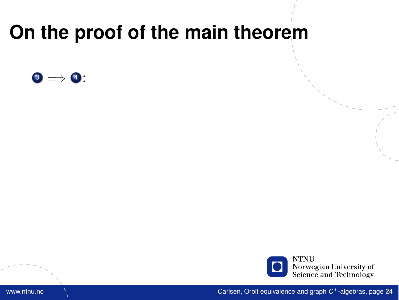

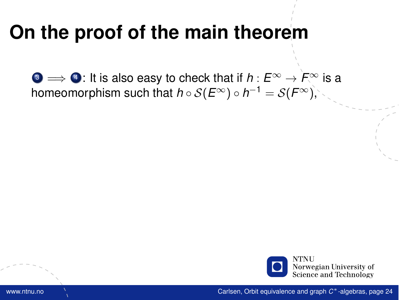$\bullet \Rightarrow \bullet$ : It is also easy to check that if  $h : E^{\infty} \to F^{\infty}$  is a homeomorphism such that  $h\circ\mathcal{S}(E^{\infty})\circ h^{-1}=\mathcal{S}(F^{\infty}),$ 

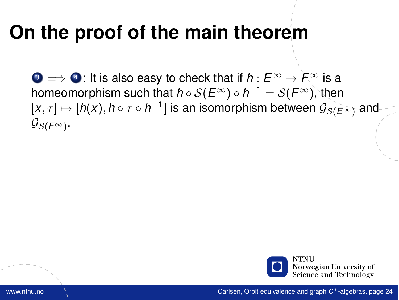$\bullet \Rightarrow \bullet$ : It is also easy to check that if  $h : E^{\infty} \to F^{\infty}$  is a homeomorphism such that  $h\circ\mathcal{S}(E^{\infty})\circ h^{-1}=\mathcal{S}(F^{\infty}),$  then  $[x,\tau]\mapsto [h(x),h\circ \tau\circ h^{-1}]$  is an isomorphism between  $\mathcal{G}_{\mathcal{S}(\widetilde{E}\tilde{\infty})}$  and  $\mathcal{G}_{\mathcal{S}(\mathit{F}^{\infty})}.$ 

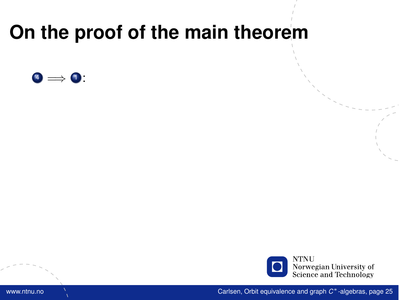

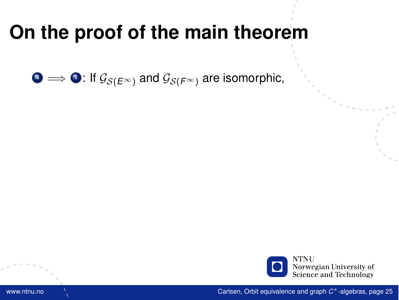$\bullet \Longrightarrow \bullet$ : If  $\mathcal{G}_{\mathcal{S}(E^{\infty})}$  and  $\mathcal{G}_{\mathcal{S}(F^{\infty})}$  are isomorphic,

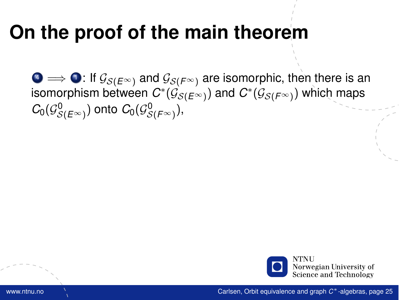$\bigcirc \rightarrow \bigcirc$ : If  $\mathcal{G}_{S(E^{\infty})}$  and  $\mathcal{G}_{S(F^{\infty})}$  are isomorphic, then there is an isomorphism between  $C^*(\mathcal{G}_{\mathcal{S}(E^\infty)})$  and  $C^*(\mathcal{G}_{\mathcal{S}(F^\infty)})$  which maps  $C_0(\mathcal{G}^0_{\mathcal{S}(E^\infty)})$  onto  $C_0(\mathcal{G}^0_{\mathcal{S}(F^\infty)}),$ 

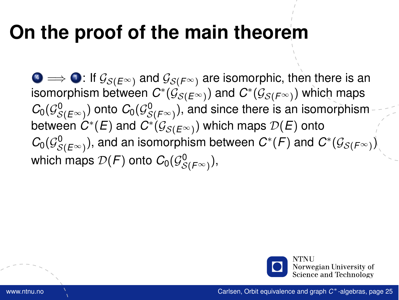$\bullet \Longrightarrow \bullet$ : If  $\mathcal{G}_{\mathcal{S}(E^{\infty})}$  and  $\mathcal{G}_{\mathcal{S}(F^{\infty})}$  are isomorphic, then there is an isomorphism between  $C^*(\mathcal{G}_{\mathcal{S}(E^\infty)})$  and  $C^*(\mathcal{G}_{\mathcal{S}(F^\infty)})$  which maps  $\mathcal{C}_0(\mathcal{G}^0_{\mathcal{S}(E^\infty)})$  onto  $\mathcal{C}_0(\mathcal{G}^0_{\mathcal{S}(F^\infty)}),$  and since there is an isomorphism between  $C^*(E)$  and  $C^*(\mathcal{G}_{\mathcal{S}(E^\infty)})$  which maps  $\mathcal{D}(E)$  onto  $\mathcal{C}_0(\mathcal{G}^0_{\mathcal{S}(E^\infty)}),$  and an isomorphism between  $\mathcal{C}^*(\mathcal{F})$  and  $\mathcal{C}^*(\mathcal{G}_{\mathcal{S}(F^\infty)})$ which maps  $\mathcal{D}(\mathcal{F})$  onto  $\mathcal{C}_0(\mathcal{G}^0_{\mathcal{S}(\mathcal{F}^\infty)}),$ 

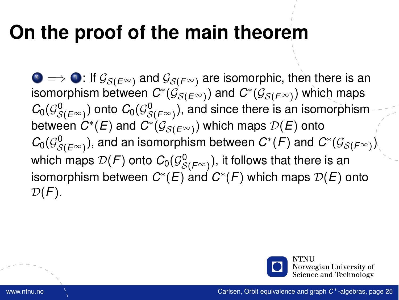$\bullet \Longrightarrow \bullet$ : If  $\mathcal{G}_{\mathcal{S}(E^{\infty})}$  and  $\mathcal{G}_{\mathcal{S}(F^{\infty})}$  are isomorphic, then there is an isomorphism between  $C^*(\mathcal{G}_{\mathcal{S}(E^\infty)})$  and  $C^*(\mathcal{G}_{\mathcal{S}(F^\infty)})$  which maps  $\mathcal{C}_0(\mathcal{G}^0_{\mathcal{S}(E^\infty)})$  onto  $\mathcal{C}_0(\mathcal{G}^0_{\mathcal{S}(F^\infty)}),$  and since there is an isomorphism between  $C^*(E)$  and  $C^*(\mathcal{G}_{\mathcal{S}(E^\infty)})$  which maps  $\mathcal{D}(E)$  onto  $\mathcal{C}_0(\mathcal{G}^0_{\mathcal{S}(E^\infty)}),$  and an isomorphism between  $\mathcal{C}^*(\mathcal{F})$  and  $\mathcal{C}^*(\mathcal{G}_{\mathcal{S}(F^\infty)})$ which maps  $\mathcal{D}(\mathcal{F})$  onto  $\mathcal{C}_0(\mathcal{G}^0_{\mathcal{S}(\mathcal{F}^{\infty})}),$  it follows that there is an isomorphism between  $C^*(E)$  and  $C^*(F)$  which maps  $\mathcal{D}(E)$  onto  $\mathcal{D}(F)$ .

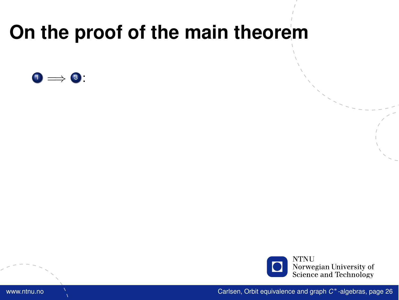

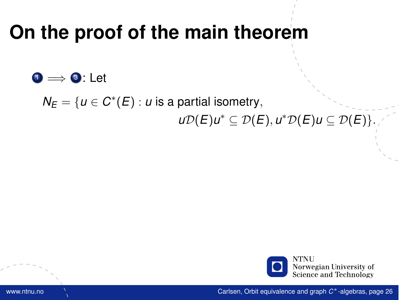$\bullet$   $\bullet$   $\bullet$  : Let

 $N_E = \{u \in C^*(E) : u \text{ is a partial isometry},\}$ *u*D(*E*)*u*<sup>\*</sup> ⊆ D(*E*), *u*<sup>\*</sup>D(*E*)*u* ⊆ D(*E*)}.

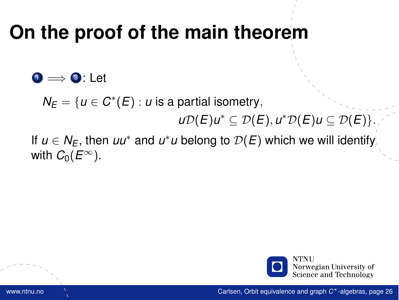#### $\bullet$   $\bullet$  : Let

 $N_E = \{u \in C^*(E) : u \text{ is a partial isometry},\}$ 

*u*D(*E*)*u*<sup>\*</sup> ⊆ D(*E*), *u*<sup>\*</sup>D(*E*)*u* ⊆ D(*E*)}.

If  $u \in N_E$ , then  $uu^*$  and  $u^*u$  belong to  $\mathcal{D}(E)$  which we will identify with  $C_0(E^{\infty})$ .

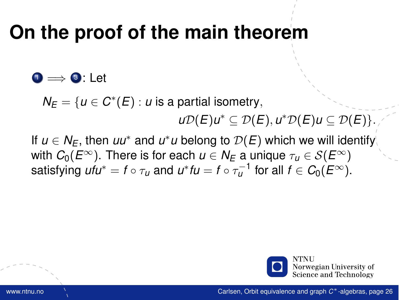#### $\bullet \Rightarrow \bullet$ : Let

 $N_E = \{u \in C^*(E) : u \text{ is a partial isometry},\}$ *u*D(*E*)*u*<sup>\*</sup> ⊆ D(*E*), *u*<sup>\*</sup>D(*E*)*u* ⊆ D(*E*)}.

If  $u \in N_E$ , then  $uu^*$  and  $u^*u$  belong to  $\mathcal{D}(E)$  which we will identify with  $C_0(E^{\infty})$ . There is for each  $u \in N_F$  a unique  $\tau_u \in \mathcal{S}(E^{\infty})$ satisfying  $\mathit{ufu}^* = f \circ \tau_u$  and  $\mathit{u}^* \mathit{fu} = f \circ \tau_u^{-1}$  for all  $f \in C_0(E^\infty).$ 

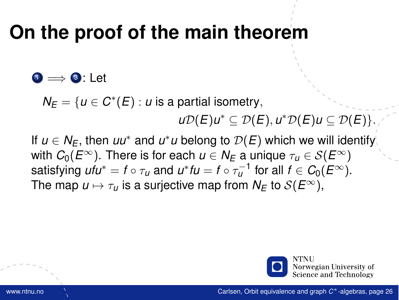#### $\bullet \Rightarrow \bullet$ : Let

 $N_E = \{u \in C^*(E) : u \text{ is a partial isometry},\}$ *u*D(*E*)*u*<sup>\*</sup> ⊆ D(*E*), *u*<sup>\*</sup>D(*E*)*u* ⊆ D(*E*)}.

If  $u \in N_E$ , then  $uu^*$  and  $u^*u$  belong to  $\mathcal{D}(E)$  which we will identify with  $C_0(E^{\infty})$ . There is for each  $u \in N_F$  a unique  $\tau_u \in \mathcal{S}(E^{\infty})$ satisfying  $\mathit{ufu}^* = f \circ \tau_u$  and  $\mathit{u}^* \mathit{fu} = f \circ \tau_u^{-1}$  for all  $f \in C_0(E^\infty).$ The map  $u \mapsto \tau_u$  is a surjective map from  $N_F$  to  $S(E^{\infty})$ ,

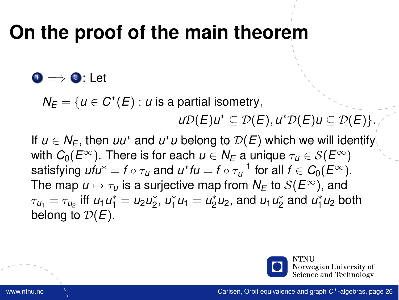#### $\bullet \Rightarrow \bullet$ : Let

 $N_E = \{u \in C^*(E) : u \text{ is a partial isometry},\}$ *u*D(*E*)*u*<sup>\*</sup> ⊆ D(*E*), *u*<sup>\*</sup>D(*E*)*u* ⊆ D(*E*)}.

If  $u \in N_E$ , then  $uu^*$  and  $u^*u$  belong to  $\mathcal{D}(E)$  which we will identify with  $C_0(E^{\infty})$ . There is for each  $u \in N_F$  a unique  $\tau_u \in \mathcal{S}(E^{\infty})$ satisfying  $\mathit{ufu}^* = f \circ \tau_u$  and  $\mathit{u}^* \mathit{fu} = f \circ \tau_u^{-1}$  for all  $f \in C_0(E^\infty).$ The map  $u \mapsto \tau_u$  is a surjective map from  $N_F$  to  $S(E^{\infty})$ , and  $\tau_{u_1} = \tau_{u_2}$  iff  $u_1 u_1^* = u_2 u_2^*$ ,  $u_1^* u_1 = u_2^* u_2$ , and  $u_1 u_2^*$  and  $u_1^* u_2$  both belong to  $\mathcal{D}(E)$ .

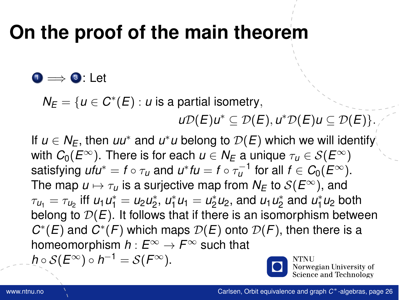#### $\bullet \Rightarrow \bullet$ : Let

 $N_E = \{u \in C^*(E) : u \text{ is a partial isometry},\}$ 

*u*D(*E*)*u*<sup>\*</sup> ⊆ D(*E*), *u*<sup>\*</sup>D(*E*)*u* ⊆ D(*E*)}.

If  $u \in N_E$ , then  $uu^*$  and  $u^*u$  belong to  $\mathcal{D}(E)$  which we will identify with  $C_0(E^{\infty})$ . There is for each  $u \in N_E$  a unique  $\tau_u \in \mathcal{S}(E^{\infty})$ satisfying  $\mathit{ufu}^* = f \circ \tau_u$  and  $\mathit{u}^* \mathit{fu} = f \circ \tau_u^{-1}$  for all  $f \in C_0(E^\infty).$ The map  $u \mapsto \tau_u$  is a surjective map from  $N_E$  to  $S(E^{\infty})$ , and  $\tau_{u_1} = \tau_{u_2}$  iff  $u_1 u_1^* = u_2 u_2^*$ ,  $u_1^* u_1 = u_2^* u_2$ , and  $u_1 u_2^*$  and  $u_1^* u_2$  both belong to  $D(E)$ . It follows that if there is an isomorphism between  $C^*(E)$  and  $C^*(F)$  which maps  $\mathcal{D}(E)$  onto  $\mathcal{D}(F)$ , then there is a homeomorphism  $h: E^{\infty} \to F^{\infty}$  such that  $h\circ\mathcal{S}(E^{\infty})\circ h^{-1}=\mathcal{S}(F^{\infty}).$ 

Norwegian University of Science and Technology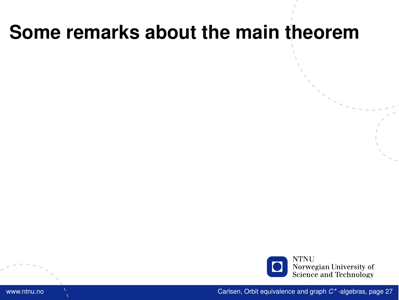#### **Some remarks about the main theorem**

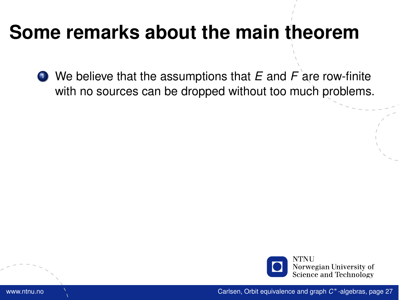#### **Some remarks about the main theorem**

<sup>1</sup> We believe that the assumptions that *E* and *F* are row-finite with no sources can be dropped without too much problems.

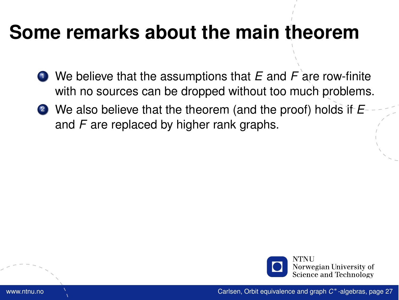#### **Some remarks about the main theorem**

- <sup>1</sup> We believe that the assumptions that *E* and *F* are row-finite with no sources can be dropped without too much problems.
- <sup>2</sup> We also believe that the theorem (and the proof) holds if *E* and *F* are replaced by higher rank graphs.

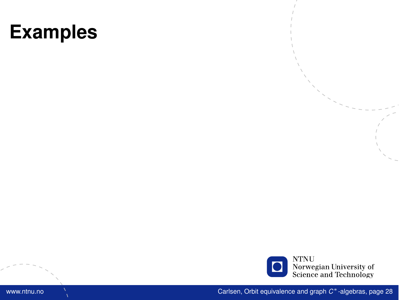

www.ntnu.no Carlsen, [Orbit equivalence and graph](#page-0-0) *C* <sup>∗</sup>-algebras, page 28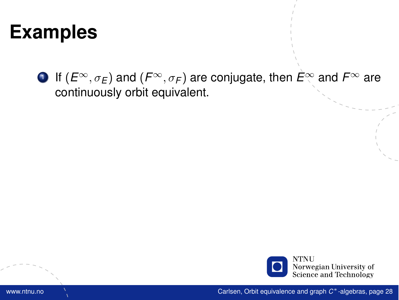**1** If  $(E^{\infty}, \sigma_E)$  and  $(F^{\infty}, \sigma_F)$  are conjugate, then  $\hat{E}^{\infty}$  and  $F^{\infty}$  are continuously orbit equivalent.

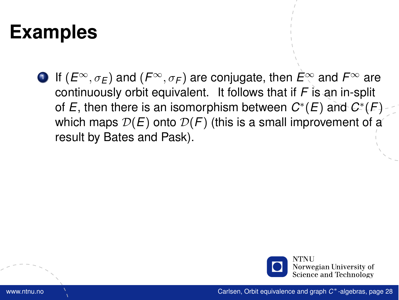**1** If  $(E^{\infty}, \sigma_E)$  and  $(F^{\infty}, \sigma_F)$  are conjugate, then  $\hat{E}^{\infty}$  and  $F^{\infty}$  are continuously orbit equivalent. It follows that if *F* is an in-split of  $E$ , then there is an isomorphism between  $C^*(E)$  and  $C^*(F)$ which maps  $\mathcal{D}(E)$  onto  $\mathcal{D}(F)$  (this is a small improvement of a result by Bates and Pask).

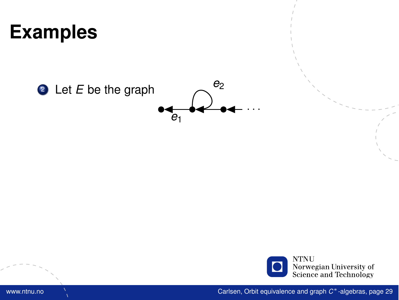

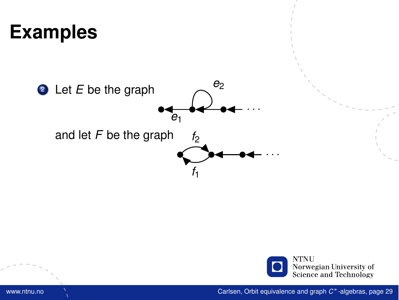

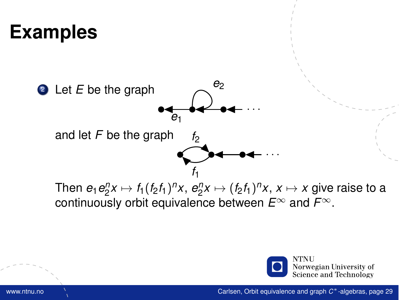

Then  $e_1e_2^n x \mapsto f_1(f_2f_1)^n x$ ,  $e_2^n x \mapsto (f_2f_1)^n x$ ,  $x \mapsto x$  give raise to a continuously orbit equivalence between *E*<sup>∞</sup> and *F*∞.

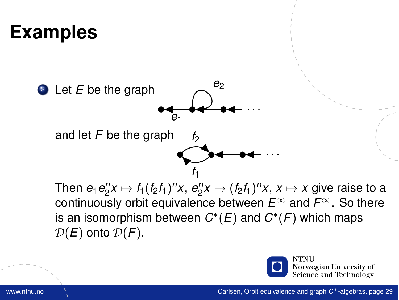

Then  $e_1e_2^n x \mapsto f_1(f_2f_1)^n x$ ,  $e_2^n x \mapsto (f_2f_1)^n x$ ,  $x \mapsto x$  give raise to a continuously orbit equivalence between *E*<sup>∞</sup> and *F*∞. So there is an isomorphism between  $C^*(E)$  and  $C^*(F)$  which maps  $\mathcal{D}(E)$  onto  $\mathcal{D}(F)$ .



Norwegian University of Science and Technology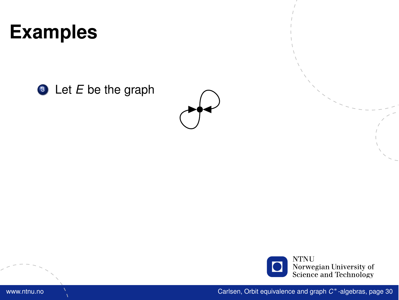**3** Let *E* be the graph



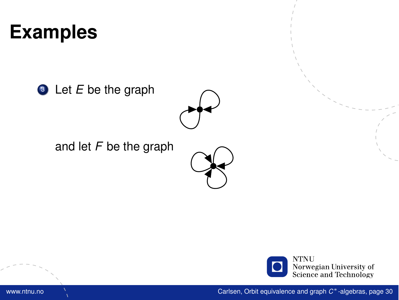**3** Let *E* be the graph



and let *F* be the graph





www.ntnu.no Carlsen, [Orbit equivalence and graph](#page-0-0) *C* <sup>∗</sup>-algebras, page 30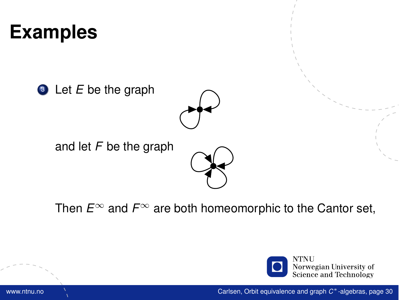**3** Let *E* be the graph



and let *F* be the graph



Then  $E^{\infty}$  and  $F^{\infty}$  are both homeomorphic to the Cantor set,

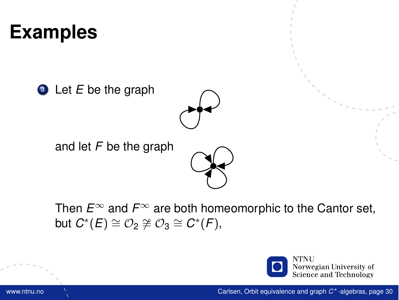**3** Let *E* be the graph



and let *F* be the graph



Then  $E^{\infty}$  and  $F^{\infty}$  are both homeomorphic to the Cantor set,  $\mathsf{b}$ ut  $C^*(E) \cong \mathcal{O}_2 \not\cong \mathcal{O}_3 \cong C^*(F)$ ,

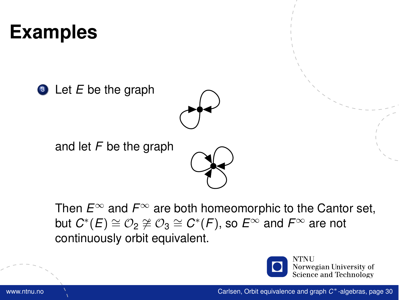**3** Let *E* be the graph



and let *F* be the graph



Then  $E^{\infty}$  and  $F^{\infty}$  are both homeomorphic to the Cantor set,  ${\sf but}\,\, C^*(E) \cong \mathcal{O}_2 \not\cong \mathcal{O}_3 \cong C^*(F),$  so  $E^\infty$  and  $F^\infty$  are not continuously orbit equivalent.

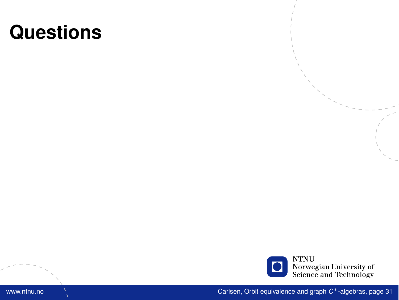

www.ntnu.no Carlsen, [Orbit equivalence and graph](#page-0-0) *C* <sup>∗</sup>-algebras, page 31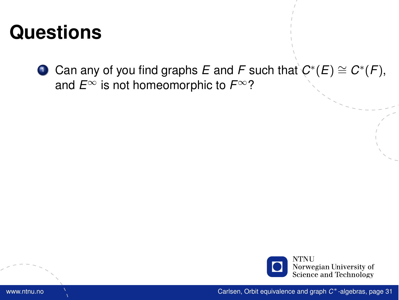**1** Can any of you find graphs  $E$  and  $F$  such that  $C^*(E) \cong C^*(F)$ , and  $E^{\infty}$  is not homeomorphic to  $F^{\infty}$ ?

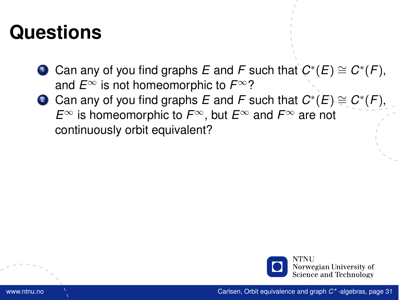- **1** Can any of you find graphs  $E$  and  $F$  such that  $C^*(E) \cong C^*(F)$ , and  $E^{\infty}$  is not homeomorphic to  $F^{\infty}$ ?
- <sup>2</sup> Can any of you find graphs *E* and *F* such that *C* ∗ (*E*) ∼= *C* ∗ (*F*), *E*<sup>∞</sup> is homeomorphic to *F*∞, but *E*<sup>∞</sup> and *F*<sup>∞</sup> are not continuously orbit equivalent?

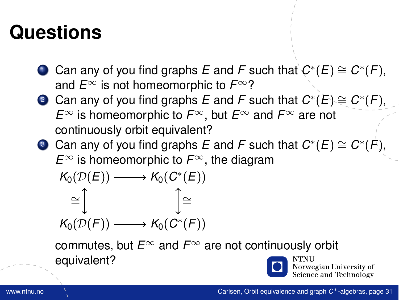- **1** Can any of you find graphs  $E$  and  $F$  such that  $C^*(E) \cong C^*(F)$ , and  $E^{\infty}$  is not homeomorphic to  $F^{\infty}$ ?
- <sup>2</sup> Can any of you find graphs *E* and *F* such that *C* ∗ (*E*) ∼= *C* ∗ (*F*), *E*<sup>∞</sup> is homeomorphic to *F*∞, but *E*<sup>∞</sup> and *F*<sup>∞</sup> are not continuously orbit equivalent?
- $\bullet$  Can any of you find graphs  $E$  and  $F$  such that  $C^*(E) \cong C^*(\dot{F}),$ *E*<sup>∞</sup> is homeomorphic to *F*∞, the diagram

$$
K_0(\mathcal{D}(E)) \longrightarrow K_0(C^*(E))
$$
  
\n
$$
\cong \int_{K_0(\mathcal{D}(F))} \longrightarrow K_0(C^*(F))
$$

commutes, but *E*<sup>∞</sup> and *F*<sup>∞</sup> are not continuously orbit equivalent? Norwegian University of

Science and Technology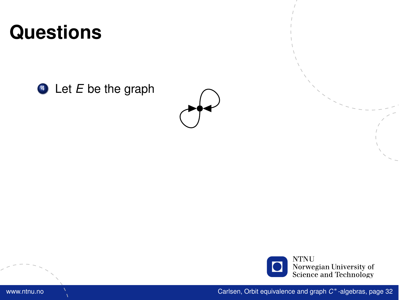<sup>4</sup> Let *E* be the graph



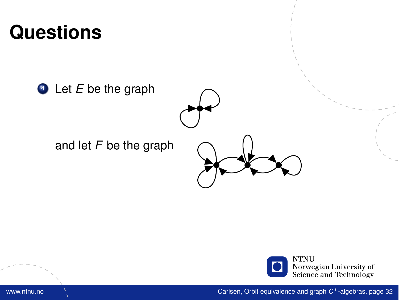<sup>4</sup> Let *E* be the graph

and let *F* be the graph





www.ntnu.no Carlsen, [Orbit equivalence and graph](#page-0-0) *C* <sup>∗</sup>-algebras, page 32